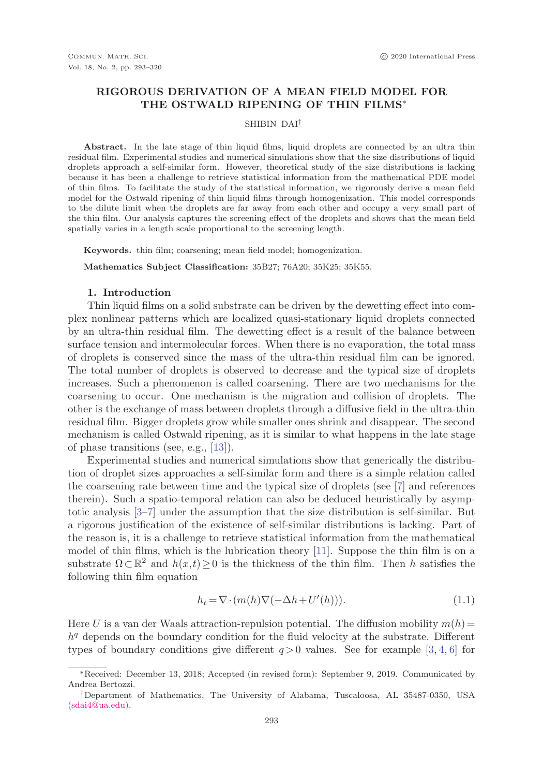# **RIGOROUS DERIVATION OF A MEAN FIELD MODEL FOR THE OSTWALD RIPENING OF THIN FILMS**∗

#### SHIBIN DAI†

**Abstract.** In the late stage of thin liquid films, liquid droplets are connected by an ultra thin residual film. Experimental studies and numerical simulations show that the size distributions of liquid droplets approach a self-similar form. However, theoretical study of the size distributions is lacking because it has been a challenge to retrieve statistical information from the mathematical PDE model of thin films. To facilitate the study of the statistical information, we rigorously derive a mean field model for the Ostwald ripening of thin liquid films through homogenization. This model corresponds to the dilute limit when the droplets are far away from each other and occupy a very small part of the thin film. Our analysis captures the screening effect of the droplets and shows that the mean field spatially varies in a length scale proportional to the screening length.

**Keywords.** thin film; coarsening; mean field model; homogenization.

**Mathematics Subject Classification:** 35B27; 76A20; 35K25; 35K55.

# **1. Introduction**

Thin liquid films on a solid substrate can be driven by the dewetting effect into complex nonlinear patterns which are localized quasi-stationary liquid droplets connected by an ultra-thin residual film. The dewetting effect is a result of the balance between surface tension and intermolecular forces. When there is no evaporation, the total mass of droplets is conserved since the mass of the ultra-thin residual film can be ignored. The total number of droplets is observed to decrease and the typical size of droplets increases. Such a phenomenon is called coarsening. There are two mechanisms for the coarsening to occur. One mechanism is the migration and collision of droplets. The other is the exchange of mass between droplets through a diffusive field in the ultra-thin residual film. Bigger droplets grow while smaller ones shrink and disappear. The second mechanism is called Ostwald ripening, as it is similar to what happens in the late stage of phase transitions (see, e.g., [13]).

Experimental studies and numerical simulations show that generically the distribution of droplet sizes approaches a self-similar form and there is a simple relation called the coarsening rate between time and the typical size of droplets (see [7] and references therein). Such a spatio-temporal relation can also be deduced heuristically by asymptotic analysis [3–7] under the assumption that the size distribution is self-similar. But a rigorous justification of the existence of self-similar distributions is lacking. Part of the reason is, it is a challenge to retrieve statistical information from the mathematical model of thin films, which is the lubrication theory [11]. Suppose the thin film is on a substrate  $\Omega \subset \mathbb{R}^2$  and  $h(x,t) \geq 0$  is the thickness of the thin film. Then h satisfies the following thin film equation

$$
h_t = \nabla \cdot (m(h)\nabla(-\Delta h + U'(h))). \tag{1.1}
$$

Here U is a van der Waals attraction-repulsion potential. The diffusion mobility  $m(h)$  =  $h<sup>q</sup>$  depends on the boundary condition for the fluid velocity at the substrate. Different types of boundary conditions give different  $q > 0$  values. See for example [3, 4, 6] for

<sup>∗</sup>Received: December 13, 2018; Accepted (in revised form): September 9, 2019. Communicated by Andrea Bertozzi.

<sup>†</sup>Department of Mathematics, The University of Alabama, Tuscaloosa, AL 35487-0350, USA (sdai4@ua.edu).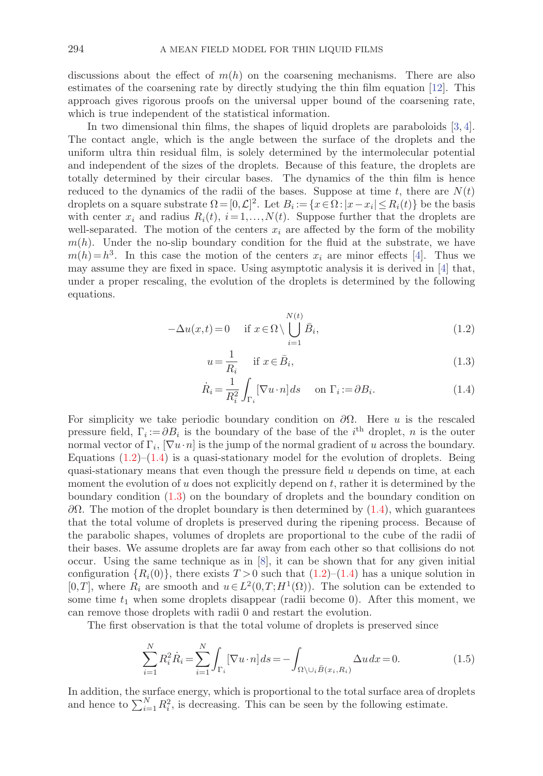discussions about the effect of  $m(h)$  on the coarsening mechanisms. There are also estimates of the coarsening rate by directly studying the thin film equation [12]. This approach gives rigorous proofs on the universal upper bound of the coarsening rate, which is true independent of the statistical information.

In two dimensional thin films, the shapes of liquid droplets are paraboloids [3, 4]. The contact angle, which is the angle between the surface of the droplets and the uniform ultra thin residual film, is solely determined by the intermolecular potential and independent of the sizes of the droplets. Because of this feature, the droplets are totally determined by their circular bases. The dynamics of the thin film is hence reduced to the dynamics of the radii of the bases. Suppose at time t, there are  $N(t)$ droplets on a square substrate  $\Omega = [0, \mathcal{L}]^2$ . Let  $B_i := \{x \in \Omega : |x - x_i| \le R_i(t)\}$  be the basis with center  $x_i$  and radius  $R_i(t)$ ,  $i=1,\ldots,N(t)$ . Suppose further that the droplets are well-separated. The motion of the centers  $x_i$  are affected by the form of the mobility  $m(h)$ . Under the no-slip boundary condition for the fluid at the substrate, we have  $m(h) = h<sup>3</sup>$ . In this case the motion of the centers  $x<sub>i</sub>$  are minor effects [4]. Thus we may assume they are fixed in space. Using asymptotic analysis it is derived in [4] that, under a proper rescaling, the evolution of the droplets is determined by the following equations.

$$
-\Delta u(x,t) = 0 \quad \text{if } x \in \Omega \setminus \bigcup_{i=1}^{N(t)} \bar{B}_i,
$$
\n(1.2)

$$
u = \frac{1}{R_i} \quad \text{if } x \in \bar{B}_i,
$$
\n
$$
(1.3)
$$

$$
\dot{R}_i = \frac{1}{R_i^2} \int_{\Gamma_i} [\nabla u \cdot n] ds \quad \text{on } \Gamma_i := \partial B_i.
$$
 (1.4)

For simplicity we take periodic boundary condition on  $\partial\Omega$ . Here u is the rescaled pressure field,  $\Gamma_i := \partial B_i$  is the boundary of the base of the i<sup>th</sup> droplet, n is the outer normal vector of  $\Gamma_i$ ,  $[\nabla u \cdot n]$  is the jump of the normal gradient of u across the boundary. Equations  $(1.2)$ – $(1.4)$  is a quasi-stationary model for the evolution of droplets. Being quasi-stationary means that even though the pressure field  $u$  depends on time, at each moment the evolution of  $u$  does not explicitly depend on  $t$ , rather it is determined by the boundary condition (1.3) on the boundary of droplets and the boundary condition on  $\partial Ω$ . The motion of the droplet boundary is then determined by (1.4), which guarantees that the total volume of droplets is preserved during the ripening process. Because of the parabolic shapes, volumes of droplets are proportional to the cube of the radii of their bases. We assume droplets are far away from each other so that collisions do not occur. Using the same technique as in [8], it can be shown that for any given initial configuration  $\{R_i(0)\}\$ , there exists  $T > 0$  such that  $(1.2)$ – $(1.4)$  has a unique solution in [0,T], where  $R_i$  are smooth and  $u \in L^2(0,T;H^1(\Omega))$ . The solution can be extended to some time  $t_1$  when some droplets disappear (radii become 0). After this moment, we can remove those droplets with radii 0 and restart the evolution.

The first observation is that the total volume of droplets is preserved since

$$
\sum_{i=1}^{N} R_i^2 \dot{R}_i = \sum_{i=1}^{N} \int_{\Gamma_i} [\nabla u \cdot n] ds = - \int_{\Omega \setminus \cup_i \bar{B}(x_i, R_i)} \Delta u dx = 0.
$$
 (1.5)

In addition, the surface energy, which is proportional to the total surface area of droplets and hence to  $\sum_{i=1}^{N} R_i^2$ , is decreasing. This can be seen by the following estimate.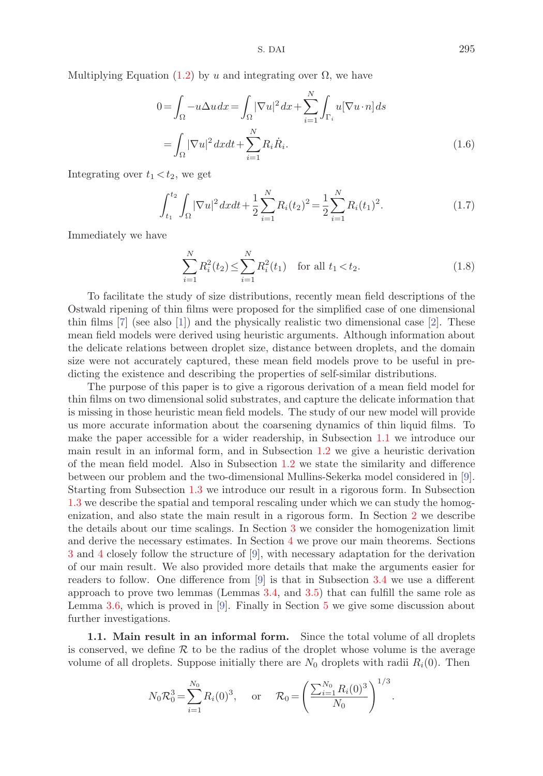S. DAI 295

Multiplying Equation (1.2) by u and integrating over  $\Omega$ , we have

$$
0 = \int_{\Omega} -u\Delta u \, dx = \int_{\Omega} |\nabla u|^2 \, dx + \sum_{i=1}^N \int_{\Gamma_i} u[\nabla u \cdot n] \, ds
$$

$$
= \int_{\Omega} |\nabla u|^2 \, dx \, dt + \sum_{i=1}^N R_i \dot{R}_i. \tag{1.6}
$$

Integrating over  $t_1 < t_2$ , we get

$$
\int_{t_1}^{t_2} \int_{\Omega} |\nabla u|^2 dx dt + \frac{1}{2} \sum_{i=1}^{N} R_i(t_2)^2 = \frac{1}{2} \sum_{i=1}^{N} R_i(t_1)^2.
$$
 (1.7)

Immediately we have

$$
\sum_{i=1}^{N} R_i^2(t_2) \le \sum_{i=1}^{N} R_i^2(t_1) \quad \text{for all } t_1 < t_2. \tag{1.8}
$$

To facilitate the study of size distributions, recently mean field descriptions of the Ostwald ripening of thin films were proposed for the simplified case of one dimensional thin films  $[7]$  (see also  $[1]$ ) and the physically realistic two dimensional case  $[2]$ . These mean field models were derived using heuristic arguments. Although information about the delicate relations between droplet size, distance between droplets, and the domain size were not accurately captured, these mean field models prove to be useful in predicting the existence and describing the properties of self-similar distributions.

The purpose of this paper is to give a rigorous derivation of a mean field model for thin films on two dimensional solid substrates, and capture the delicate information that is missing in those heuristic mean field models. The study of our new model will provide us more accurate information about the coarsening dynamics of thin liquid films. To make the paper accessible for a wider readership, in Subsection 1.1 we introduce our main result in an informal form, and in Subsection 1.2 we give a heuristic derivation of the mean field model. Also in Subsection 1.2 we state the similarity and difference between our problem and the two-dimensional Mullins-Sekerka model considered in [9]. Starting from Subsection 1.3 we introduce our result in a rigorous form. In Subsection 1.3 we describe the spatial and temporal rescaling under which we can study the homogenization, and also state the main result in a rigorous form. In Section 2 we describe the details about our time scalings. In Section 3 we consider the homogenization limit and derive the necessary estimates. In Section 4 we prove our main theorems. Sections 3 and 4 closely follow the structure of [9], with necessary adaptation for the derivation of our main result. We also provided more details that make the arguments easier for readers to follow. One difference from [9] is that in Subsection 3.4 we use a different approach to prove two lemmas (Lemmas 3.4, and 3.5) that can fulfill the same role as Lemma 3.6, which is proved in [9]. Finally in Section 5 we give some discussion about further investigations.

**1.1. Main result in an informal form.** Since the total volume of all droplets is conserved, we define  $R$  to be the radius of the droplet whose volume is the average volume of all droplets. Suppose initially there are  $N_0$  droplets with radii  $R_i(0)$ . Then

$$
N_0 \mathcal{R}_0^3 = \sum_{i=1}^{N_0} R_i(0)^3
$$
, or  $\mathcal{R}_0 = \left(\frac{\sum_{i=1}^{N_0} R_i(0)^3}{N_0}\right)^{1/3}$ .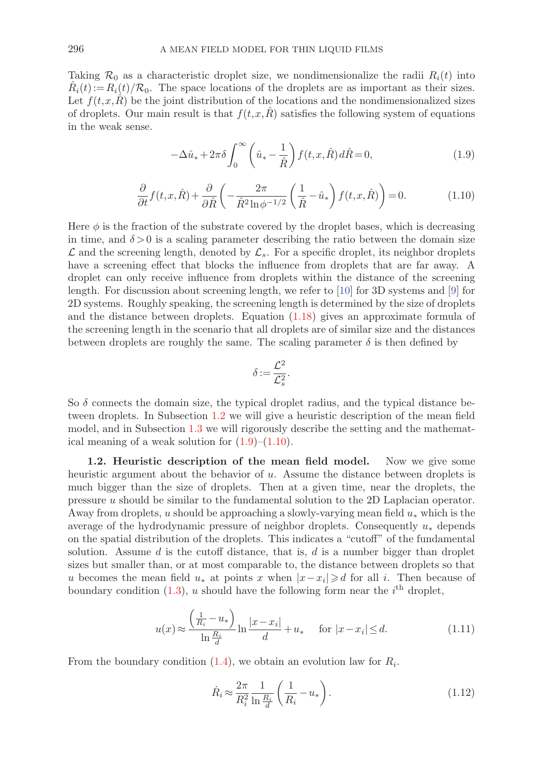Taking  $\mathcal{R}_0$  as a characteristic droplet size, we nondimensionalize the radii  $R_i(t)$  into  $\hat{R}_i(t) := R_i(t)/\mathcal{R}_0$ . The space locations of the droplets are as important as their sizes. Let  $f(t,x,R)$  be the joint distribution of the locations and the nondimensionalized sizes of droplets. Our main result is that  $f(t,x,R)$  satisfies the following system of equations in the weak sense.

$$
-\Delta\hat{u}_* + 2\pi\delta \int_0^\infty \left(\hat{u}_* - \frac{1}{\hat{R}}\right) f(t, x, \hat{R}) d\hat{R} = 0, \tag{1.9}
$$

$$
\frac{\partial}{\partial t} f(t, x, \hat{R}) + \frac{\partial}{\partial \hat{R}} \left( -\frac{2\pi}{\hat{R}^2 \ln \phi^{-1/2}} \left( \frac{1}{\hat{R}} - \hat{u}_* \right) f(t, x, \hat{R}) \right) = 0. \tag{1.10}
$$

Here  $\phi$  is the fraction of the substrate covered by the droplet bases, which is decreasing in time, and  $\delta > 0$  is a scaling parameter describing the ratio between the domain size  $\mathcal L$  and the screening length, denoted by  $\mathcal L_s$ . For a specific droplet, its neighbor droplets have a screening effect that blocks the influence from droplets that are far away. A droplet can only receive influence from droplets within the distance of the screening length. For discussion about screening length, we refer to [10] for 3D systems and [9] for 2D systems. Roughly speaking, the screening length is determined by the size of droplets and the distance between droplets. Equation (1.18) gives an approximate formula of the screening length in the scenario that all droplets are of similar size and the distances between droplets are roughly the same. The scaling parameter  $\delta$  is then defined by

$$
\delta := \frac{\mathcal{L}^2}{\mathcal{L}_s^2}.
$$

So  $\delta$  connects the domain size, the typical droplet radius, and the typical distance between droplets. In Subsection 1.2 we will give a heuristic description of the mean field model, and in Subsection 1.3 we will rigorously describe the setting and the mathematical meaning of a weak solution for  $(1.9)$ – $(1.10)$ .

**1.2. Heuristic description of the mean field model.** Now we give some heuristic argument about the behavior of u. Assume the distance between droplets is much bigger than the size of droplets. Then at a given time, near the droplets, the pressure u should be similar to the fundamental solution to the 2D Laplacian operator. Away from droplets, u should be approaching a slowly-varying mean field  $u_*$  which is the average of the hydrodynamic pressure of neighbor droplets. Consequently  $u_*$  depends on the spatial distribution of the droplets. This indicates a "cutoff" of the fundamental solution. Assume  $d$  is the cutoff distance, that is,  $d$  is a number bigger than droplet sizes but smaller than, or at most comparable to, the distance between droplets so that u becomes the mean field  $u_*$  at points x when  $|x-x_i|\geq d$  for all i. Then because of boundary condition  $(1.3)$ , u should have the following form near the  $i<sup>th</sup>$  droplet,

$$
u(x) \approx \frac{\left(\frac{1}{R_i} - u_*\right)}{\ln \frac{R_i}{d}} \ln \frac{|x - x_i|}{d} + u_* \quad \text{for } |x - x_i| \le d. \tag{1.11}
$$

From the boundary condition  $(1.4)$ , we obtain an evolution law for  $R_i$ .

$$
\dot{R}_i \approx \frac{2\pi}{R_i^2} \frac{1}{\ln\frac{R_i}{d}} \left(\frac{1}{R_i} - u_*\right). \tag{1.12}
$$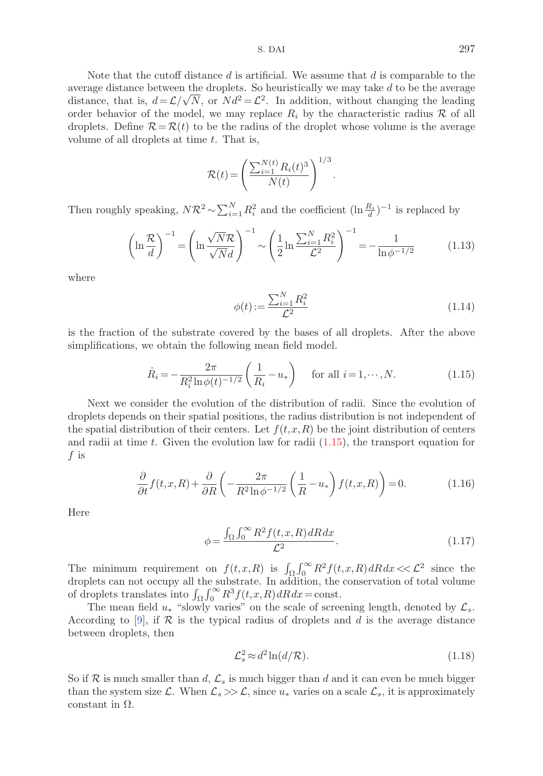Note that the cutoff distance  $d$  is artificial. We assume that  $d$  is comparable to the average distance between the droplets. So heuristically we may take  $d$  to be the average distance, that is,  $d = \mathcal{L}/\sqrt{N}$ , or  $Nd^2 = \mathcal{L}^2$ . In addition, without changing the leading order behavior of the model, we may replace  $R_i$  by the characteristic radius  $\mathcal R$  of all droplets. Define  $\mathcal{R}=\mathcal{R}(t)$  to be the radius of the droplet whose volume is the average volume of all droplets at time  $t$ . That is,

$$
\mathcal{R}(t) = \left(\frac{\sum_{i=1}^{N(t)} R_i(t)^3}{N(t)}\right)^{1/3}
$$

Then roughly speaking,  $N\mathcal{R}^2 \sim \sum_{i=1}^N R_i^2$  and the coefficient  $(\ln \frac{R_i}{d})^{-1}$  is replaced by

$$
\left(\ln\frac{\mathcal{R}}{d}\right)^{-1} = \left(\ln\frac{\sqrt{N}\mathcal{R}}{\sqrt{N}d}\right)^{-1} \sim \left(\frac{1}{2}\ln\frac{\sum_{i=1}^{N}R_i^2}{\mathcal{L}^2}\right)^{-1} = -\frac{1}{\ln\phi^{-1/2}}\tag{1.13}
$$

where

$$
\phi(t) := \frac{\sum_{i=1}^{N} R_i^2}{\mathcal{L}^2} \tag{1.14}
$$

.

is the fraction of the substrate covered by the bases of all droplets. After the above simplifications, we obtain the following mean field model.

$$
\dot{R}_i = -\frac{2\pi}{R_i^2 \ln \phi(t)^{-1/2}} \left(\frac{1}{R_i} - u_*\right) \quad \text{for all } i = 1, \cdots, N. \tag{1.15}
$$

Next we consider the evolution of the distribution of radii. Since the evolution of droplets depends on their spatial positions, the radius distribution is not independent of the spatial distribution of their centers. Let  $f(t,x,R)$  be the joint distribution of centers and radii at time t. Given the evolution law for radii  $(1.15)$ , the transport equation for f is

$$
\frac{\partial}{\partial t} f(t, x, R) + \frac{\partial}{\partial R} \left( -\frac{2\pi}{R^2 \ln \phi^{-1/2}} \left( \frac{1}{R} - u_* \right) f(t, x, R) \right) = 0. \tag{1.16}
$$

Here

$$
\phi = \frac{\int_{\Omega} \int_0^{\infty} R^2 f(t, x, R) \, dR \, dx}{\mathcal{L}^2}.
$$
\n(1.17)

The minimum requirement on  $f(t,x,R)$  is  $\int_{\Omega} \int_0^{\infty} R^2 f(t,x,R) dR dx < \mathcal{L}^2$  since the droplets can not occupy all the substrate. In addition, the conservation of total volume of droplets translates into  $\int_{\Omega} \int_0^{\infty} R^3 f(t, x, R) dR dx = \text{const.}$ 

The mean field  $u_*$  "slowly varies" on the scale of screening length, denoted by  $\mathcal{L}_s$ . According to [9], if  $\mathcal R$  is the typical radius of droplets and d is the average distance between droplets, then

$$
\mathcal{L}_s^2 \approx d^2 \ln(d/\mathcal{R}).\tag{1.18}
$$

So if R is much smaller than d,  $\mathcal{L}_s$  is much bigger than d and it can even be much bigger than the system size  $\mathcal{L}$ . When  $\mathcal{L}_s \gg \mathcal{L}$ , since  $u_*$  varies on a scale  $\mathcal{L}_s$ , it is approximately constant in  $Ω$ .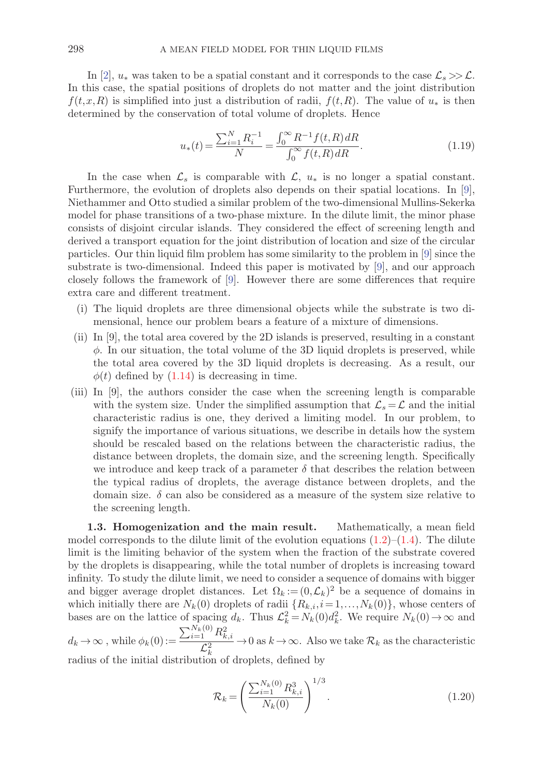In [2],  $u_*$  was taken to be a spatial constant and it corresponds to the case  $\mathcal{L}_s \gg \mathcal{L}$ . In this case, the spatial positions of droplets do not matter and the joint distribution  $f(t,x,R)$  is simplified into just a distribution of radii,  $f(t,R)$ . The value of  $u_*$  is then determined by the conservation of total volume of droplets. Hence

$$
u_*(t) = \frac{\sum_{i=1}^{N} R_i^{-1}}{N} = \frac{\int_0^{\infty} R^{-1} f(t, R) dR}{\int_0^{\infty} f(t, R) dR}.
$$
\n(1.19)

In the case when  $\mathcal{L}_s$  is comparable with  $\mathcal{L}, u_*$  is no longer a spatial constant. Furthermore, the evolution of droplets also depends on their spatial locations. In [9], Niethammer and Otto studied a similar problem of the two-dimensional Mullins-Sekerka model for phase transitions of a two-phase mixture. In the dilute limit, the minor phase consists of disjoint circular islands. They considered the effect of screening length and derived a transport equation for the joint distribution of location and size of the circular particles. Our thin liquid film problem has some similarity to the problem in [9] since the substrate is two-dimensional. Indeed this paper is motivated by [9], and our approach closely follows the framework of [9]. However there are some differences that require extra care and different treatment.

- (i) The liquid droplets are three dimensional objects while the substrate is two dimensional, hence our problem bears a feature of a mixture of dimensions.
- (ii) In [9], the total area covered by the 2D islands is preserved, resulting in a constant  $\phi$ . In our situation, the total volume of the 3D liquid droplets is preserved, while the total area covered by the 3D liquid droplets is decreasing. As a result, our  $\phi(t)$  defined by  $(1.14)$  is decreasing in time.
- (iii) In [9], the authors consider the case when the screening length is comparable with the system size. Under the simplified assumption that  $\mathcal{L}_s = \mathcal{L}$  and the initial characteristic radius is one, they derived a limiting model. In our problem, to signify the importance of various situations, we describe in details how the system should be rescaled based on the relations between the characteristic radius, the distance between droplets, the domain size, and the screening length. Specifically we introduce and keep track of a parameter  $\delta$  that describes the relation between the typical radius of droplets, the average distance between droplets, and the domain size.  $\delta$  can also be considered as a measure of the system size relative to the screening length.

**1.3. Homogenization and the main result.** Mathematically, a mean field model corresponds to the dilute limit of the evolution equations  $(1.2)$ – $(1.4)$ . The dilute limit is the limiting behavior of the system when the fraction of the substrate covered by the droplets is disappearing, while the total number of droplets is increasing toward infinity. To study the dilute limit, we need to consider a sequence of domains with bigger and bigger average droplet distances. Let  $\Omega_k := (0, \mathcal{L}_k)^2$  be a sequence of domains in which initially there are  $N_k(0)$  droplets of radii  $\{R_{k,i}, i=1,\ldots,N_k(0)\}$ , whose centers of bases are on the lattice of spacing  $d_k$ . Thus  $\mathcal{L}_k^2 = N_k(0)d_k^2$ . We require  $N_k(0) \to \infty$  and  $\sum_{i=1}^{N_k(0)} R_{k,i}^2$ 

 $d_k \to \infty$ , while  $\phi_k(0) :=$  $\frac{1}{\mathcal{L}_k^2}$  → 0 as  $k \to \infty$ . Also we take  $\mathcal{R}_k$  as the characteristic

radius of the initial distribution of droplets, defined by

$$
\mathcal{R}_k = \left(\frac{\sum_{i=1}^{N_k(0)} R_{k,i}^3}{N_k(0)}\right)^{1/3}.
$$
\n(1.20)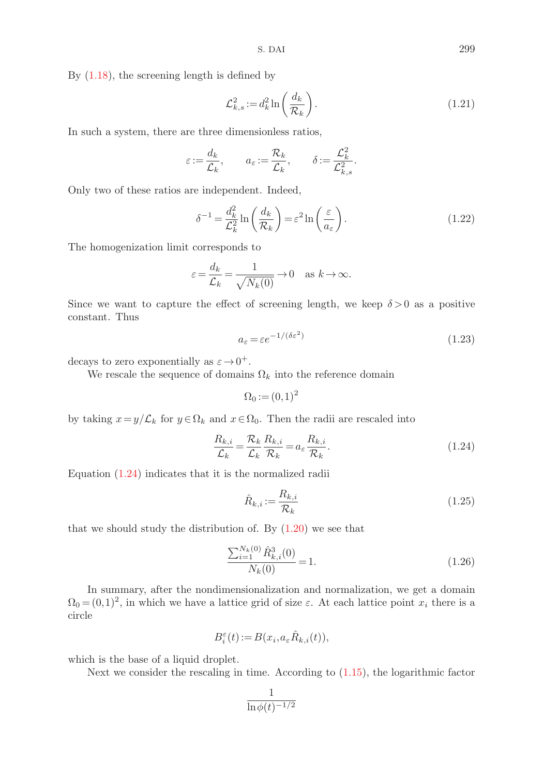By  $(1.18)$ , the screening length is defined by

$$
\mathcal{L}_{k,s}^2 := d_k^2 \ln\left(\frac{d_k}{\mathcal{R}_k}\right). \tag{1.21}
$$

In such a system, there are three dimensionless ratios,

$$
\varepsilon\!:=\!\frac{d_k}{\mathcal{L}_k},\qquad a_\varepsilon\!:=\!\frac{\mathcal{R}_k}{\mathcal{L}_k},\qquad \delta\!:=\!\frac{\mathcal{L}_k^2}{\mathcal{L}_{k,s}^2}.
$$

Only two of these ratios are independent. Indeed,

$$
\delta^{-1} = \frac{d_k^2}{\mathcal{L}_k^2} \ln\left(\frac{d_k}{\mathcal{R}_k}\right) = \varepsilon^2 \ln\left(\frac{\varepsilon}{a_\varepsilon}\right). \tag{1.22}
$$

The homogenization limit corresponds to

$$
\varepsilon = \frac{d_k}{\mathcal{L}_k} = \frac{1}{\sqrt{N_k(0)}} \to 0 \quad \text{as } k \to \infty.
$$

Since we want to capture the effect of screening length, we keep  $\delta > 0$  as a positive constant. Thus

$$
a_{\varepsilon} = \varepsilon e^{-1/(\delta \varepsilon^2)}\tag{1.23}
$$

decays to zero exponentially as  $\varepsilon \to 0^+$ .

We rescale the sequence of domains  $\Omega_k$  into the reference domain

$$
\Omega_0 := (0,1)^2
$$

by taking  $x=y/\mathcal{L}_k$  for  $y \in \Omega_k$  and  $x \in \Omega_0$ . Then the radii are rescaled into

$$
\frac{R_{k,i}}{\mathcal{L}_k} = \frac{\mathcal{R}_k}{\mathcal{L}_k} \frac{R_{k,i}}{\mathcal{R}_k} = a_\varepsilon \frac{R_{k,i}}{\mathcal{R}_k}.
$$
\n(1.24)

Equation (1.24) indicates that it is the normalized radii

$$
\hat{R}_{k,i} := \frac{R_{k,i}}{\mathcal{R}_k} \tag{1.25}
$$

that we should study the distribution of. By  $(1.20)$  we see that

$$
\frac{\sum_{i=1}^{N_k(0)} \hat{R}_{k,i}^3(0)}{N_k(0)} = 1.
$$
\n(1.26)

In summary, after the nondimensionalization and normalization, we get a domain  $\Omega_0 = (0,1)^2$ , in which we have a lattice grid of size  $\varepsilon$ . At each lattice point  $x_i$  there is a circle

$$
B_i^{\varepsilon}(t) := B(x_i, a_{\varepsilon} \hat{R}_{k,i}(t)),
$$

which is the base of a liquid droplet.

Next we consider the rescaling in time. According to (1.15), the logarithmic factor

$$
\frac{1}{\ln \phi(t)^{-1/2}}
$$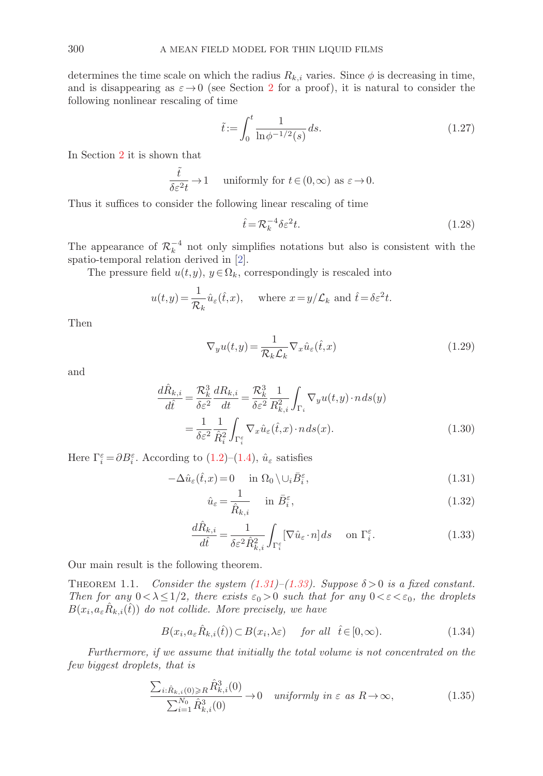determines the time scale on which the radius  $R_{k,i}$  varies. Since  $\phi$  is decreasing in time, and is disappearing as  $\varepsilon \to 0$  (see Section 2 for a proof), it is natural to consider the following nonlinear rescaling of time

$$
\tilde{t} := \int_0^t \frac{1}{\ln \phi^{-1/2}(s)} \, ds. \tag{1.27}
$$

In Section 2 it is shown that

$$
\frac{\tilde{t}}{\delta \varepsilon^2 t} \to 1 \quad \text{ uniformly for } t \in (0, \infty) \text{ as } \varepsilon \to 0.
$$

Thus it suffices to consider the following linear rescaling of time

$$
\hat{t} = \mathcal{R}_k^{-4} \delta \varepsilon^2 t. \tag{1.28}
$$

The appearance of  $\mathcal{R}_k^{-4}$  not only simplifies notations but also is consistent with the spatio-temporal relation derived in [2].

The pressure field  $u(t,y)$ ,  $y \in \Omega_k$ , correspondingly is rescaled into

$$
u(t,y) = \frac{1}{\mathcal{R}_k} \hat{u}_{\varepsilon}(\hat{t},x), \quad \text{where } x = y/\mathcal{L}_k \text{ and } \hat{t} = \delta \varepsilon^2 t.
$$

Then

$$
\nabla_y u(t, y) = \frac{1}{\mathcal{R}_k \mathcal{L}_k} \nabla_x \hat{u}_\varepsilon(\hat{t}, x)
$$
\n(1.29)

and

$$
\frac{d\hat{R}_{k,i}}{d\hat{t}} = \frac{\mathcal{R}_k^3}{\delta \varepsilon^2} \frac{dR_{k,i}}{dt} = \frac{\mathcal{R}_k^3}{\delta \varepsilon^2} \frac{1}{R_{k,i}^2} \int_{\Gamma_i} \nabla_y u(t,y) \cdot n \, ds(y)
$$

$$
= \frac{1}{\delta \varepsilon^2} \frac{1}{\hat{R}_i^2} \int_{\Gamma_i^{\varepsilon}} \nabla_x \hat{u}_{\varepsilon}(\hat{t},x) \cdot n \, ds(x). \tag{1.30}
$$

Here  $\Gamma_i^{\varepsilon} = \partial B_i^{\varepsilon}$ . According to (1.2)–(1.4),  $\hat{u}_{\varepsilon}$  satisfies

$$
-\Delta \hat{u}_{\varepsilon}(\hat{t},x) = 0 \quad \text{in } \Omega_0 \setminus \cup_i \bar{B}_i^{\varepsilon},\tag{1.31}
$$

$$
\hat{u}_{\varepsilon} = \frac{1}{\hat{R}_{k,i}} \quad \text{in } \bar{B}_{i}^{\varepsilon},\tag{1.32}
$$

$$
\frac{d\hat{R}_{k,i}}{d\hat{t}} = \frac{1}{\delta \varepsilon^2 \hat{R}_{k,i}^2} \int_{\Gamma_i^{\varepsilon}} [\nabla \hat{u}_{\varepsilon} \cdot n] ds \quad \text{on } \Gamma_i^{\varepsilon}.
$$
 (1.33)

Our main result is the following theorem.

THEOREM 1.1. Consider the system  $(1.31)$ – $(1.33)$ . Suppose  $\delta > 0$  is a fixed constant. Then for any  $0 < \lambda \leq 1/2$ , there exists  $\varepsilon_0 > 0$  such that for any  $0 < \varepsilon < \varepsilon_0$ , the droplets  $B(x_i, a_\varepsilon \hat{R}_{k,i}(\hat{t}))$  do not collide. More precisely, we have

$$
B(x_i, a_{\varepsilon} \hat{R}_{k,i}(\hat{t})) \subset B(x_i, \lambda \varepsilon) \quad \text{for all} \quad \hat{t} \in [0, \infty). \tag{1.34}
$$

Furthermore, if we assume that initially the total volume is not concentrated on the few biggest droplets, that is

$$
\frac{\sum_{i:\hat{R}_{k,i}(0)\geq R} \hat{R}_{k,i}^3(0)}{\sum_{i=1}^{N_0} \hat{R}_{k,i}^3(0)} \to 0 \quad \text{uniformly in } \varepsilon \text{ as } R \to \infty,
$$
\n(1.35)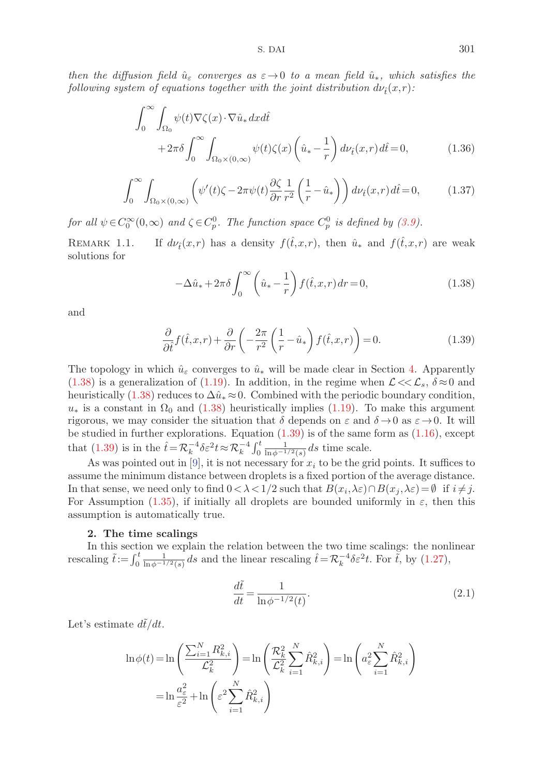then the diffusion field  $\hat{u}_{\varepsilon}$  converges as  $\varepsilon \to 0$  to a mean field  $\hat{u}_*,$  which satisfies the following system of equations together with the joint distribution  $d\nu_{\hat{t}}(x,r)$ :

$$
\int_0^\infty \int_{\Omega_0} \psi(t) \nabla \zeta(x) \cdot \nabla \hat{u}_* dx d\hat{t} + 2\pi \delta \int_0^\infty \int_{\Omega_0 \times (0,\infty)} \psi(t) \zeta(x) \left(\hat{u}_* - \frac{1}{r}\right) d\nu_{\hat{t}}(x,r) d\hat{t} = 0,
$$
(1.36)

$$
\int_0^\infty \int_{\Omega_0 \times (0,\infty)} \left( \psi'(t)\zeta - 2\pi \psi(t) \frac{\partial \zeta}{\partial r} \frac{1}{r^2} \left( \frac{1}{r} - \hat{u}_* \right) \right) d\nu_{\hat{t}}(x,r) d\hat{t} = 0, \tag{1.37}
$$

for all  $\psi \in C_0^{\infty}(0,\infty)$  and  $\zeta \in C_p^0$ . The function space  $C_p^0$  is defined by (3.9).

REMARK 1.1. If  $d\nu_{\hat{t}}(x,r)$  has a density  $f(\hat{t},x,r)$ , then  $\hat{u}_*$  and  $f(\hat{t},x,r)$  are weak solutions for

$$
-\Delta\hat{u}_* + 2\pi\delta \int_0^\infty \left(\hat{u}_* - \frac{1}{r}\right) f(\hat{t}, x, r) dr = 0,
$$
\n(1.38)

and

$$
\frac{\partial}{\partial \hat{t}} f(\hat{t}, x, r) + \frac{\partial}{\partial r} \left( -\frac{2\pi}{r^2} \left( \frac{1}{r} - \hat{u}_* \right) f(\hat{t}, x, r) \right) = 0. \tag{1.39}
$$

The topology in which  $\hat{u}_{\varepsilon}$  converges to  $\hat{u}_*$  will be made clear in Section 4. Apparently (1.38) is a generalization of (1.19). In addition, in the regime when  $\mathcal{L} \ll \mathcal{L}_s$ ,  $\delta \approx 0$  and heuristically (1.38) reduces to  $\Delta \hat{u}_* \approx 0$ . Combined with the periodic boundary condition,  $u_*$  is a constant in  $\Omega_0$  and (1.38) heuristically implies (1.19). To make this argument rigorous, we may consider the situation that  $\delta$  depends on  $\varepsilon$  and  $\delta \to 0$  as  $\varepsilon \to 0$ . It will be studied in further explorations. Equation  $(1.39)$  is of the same form as  $(1.16)$ , except that (1.39) is in the  $\hat{t} = \mathcal{R}_k^{-4} \delta \varepsilon^2 t \approx \mathcal{R}_k^{-4} \int_0^t \frac{1}{\ln \phi^{-1/2}(s)} ds$  time scale.

As was pointed out in [9], it is not necessary for  $x_i$  to be the grid points. It suffices to assume the minimum distance between droplets is a fixed portion of the average distance. In that sense, we need only to find  $0 < \lambda < 1/2$  such that  $B(x_i, \lambda \varepsilon) \cap B(x_j, \lambda \varepsilon) = \emptyset$  if  $i \neq j$ . For Assumption (1.35), if initially all droplets are bounded uniformly in  $\varepsilon$ , then this assumption is automatically true.

#### **2. The time scalings**

In this section we explain the relation between the two time scalings: the nonlinear rescaling  $\tilde{t} := \int_0^t \frac{1}{\ln \phi^{-1/2}(s)} ds$  and the linear rescaling  $\hat{t} = \mathcal{R}_k^{-4} \delta \varepsilon^2 t$ . For  $\tilde{t}$ , by (1.27),

$$
\frac{d\tilde{t}}{dt} = \frac{1}{\ln \phi^{-1/2}(t)}.\tag{2.1}
$$

Let's estimate  $d\tilde{t}/dt$ .

$$
\ln \phi(t) = \ln \left( \frac{\sum_{i=1}^{N} R_{k,i}^2}{\mathcal{L}_k^2} \right) = \ln \left( \frac{\mathcal{R}_k^2}{\mathcal{L}_k^2} \sum_{i=1}^{N} \hat{R}_{k,i}^2 \right) = \ln \left( a_\varepsilon^2 \sum_{i=1}^{N} \hat{R}_{k,i}^2 \right)
$$

$$
= \ln \frac{a_\varepsilon^2}{\varepsilon^2} + \ln \left( \varepsilon^2 \sum_{i=1}^{N} \hat{R}_{k,i}^2 \right)
$$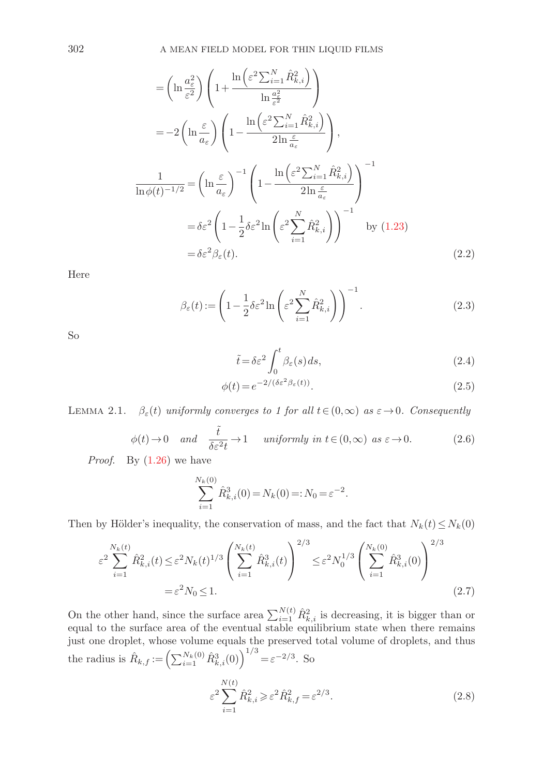$$
= \left(\ln \frac{a_{\varepsilon}^{2}}{\varepsilon^{2}}\right) \left(1 + \frac{\ln\left(\varepsilon^{2} \sum_{i=1}^{N} \hat{R}_{k,i}^{2}\right)}{\ln \frac{a_{\varepsilon}^{2}}{\varepsilon^{2}}}\right)
$$
  
\n
$$
= -2\left(\ln \frac{\varepsilon}{a_{\varepsilon}}\right) \left(1 - \frac{\ln\left(\varepsilon^{2} \sum_{i=1}^{N} \hat{R}_{k,i}^{2}\right)}{2\ln \frac{\varepsilon}{a_{\varepsilon}}}\right),
$$
  
\n
$$
\frac{1}{\ln \phi(t)^{-1/2}} = \left(\ln \frac{\varepsilon}{a_{\varepsilon}}\right)^{-1} \left(1 - \frac{\ln\left(\varepsilon^{2} \sum_{i=1}^{N} \hat{R}_{k,i}^{2}\right)}{2\ln \frac{\varepsilon}{a_{\varepsilon}}}\right)^{-1}
$$
  
\n
$$
= \delta \varepsilon^{2} \left(1 - \frac{1}{2} \delta \varepsilon^{2} \ln\left(\varepsilon^{2} \sum_{i=1}^{N} \hat{R}_{k,i}^{2}\right)\right)^{-1} \text{ by (1.23)}
$$
  
\n
$$
= \delta \varepsilon^{2} \beta_{\varepsilon}(t).
$$

Here

$$
\beta_{\varepsilon}(t) := \left(1 - \frac{1}{2}\delta\varepsilon^2 \ln\left(\varepsilon^2 \sum_{i=1}^N \hat{R}_{k,i}^2\right)\right)^{-1}.\tag{2.3}
$$

So

$$
\tilde{t} = \delta \varepsilon^2 \int_0^t \beta_\varepsilon(s) \, ds,\tag{2.4}
$$

$$
\phi(t) = e^{-2/(\delta \varepsilon^2 \beta_{\varepsilon}(t))}.
$$
\n(2.5)

LEMMA 2.1.  $\beta_{\varepsilon}(t)$  uniformly converges to 1 for all  $t \in (0,\infty)$  as  $\varepsilon \to 0$ . Consequently

$$
\phi(t) \to 0 \quad and \quad \frac{\tilde{t}}{\delta \varepsilon^2 t} \to 1 \quad \text{ uniformly in } t \in (0, \infty) \text{ as } \varepsilon \to 0. \tag{2.6}
$$

*Proof.* By  $(1.26)$  we have

$$
\sum_{i=1}^{N_k(0)} \hat{R}_{k,i}^3(0) = N_k(0) =: N_0 = \varepsilon^{-2}.
$$

Then by Hölder's inequality, the conservation of mass, and the fact that  $N_k(t) \leq N_k(0)$ 

$$
\varepsilon^2 \sum_{i=1}^{N_k(t)} \hat{R}_{k,i}^2(t) \le \varepsilon^2 N_k(t)^{1/3} \left( \sum_{i=1}^{N_k(t)} \hat{R}_{k,i}^3(t) \right)^{2/3} \le \varepsilon^2 N_0^{1/3} \left( \sum_{i=1}^{N_k(0)} \hat{R}_{k,i}^3(0) \right)^{2/3} = \varepsilon^2 N_0 \le 1.
$$
\n(2.7)

On the other hand, since the surface area  $\sum_{i=1}^{N(t)} \hat{R}_{k,i}^2$  is decreasing, it is bigger than or equal to the surface area of the eventual stable equilibrium state when there remains just one droplet, whose volume equals the preserved total volume of droplets, and thus the radius is  $\hat{R}_{k,f} := \left(\sum_{i=1}^{N_k(0)} \hat{R}_{k,i}^3(0)\right)^{1/3} = \varepsilon^{-2/3}$ . So

$$
\varepsilon^2 \sum_{i=1}^{N(t)} \hat{R}_{k,i}^2 \geqslant \varepsilon^2 \hat{R}_{k,f}^2 = \varepsilon^{2/3}.
$$
\n(2.8)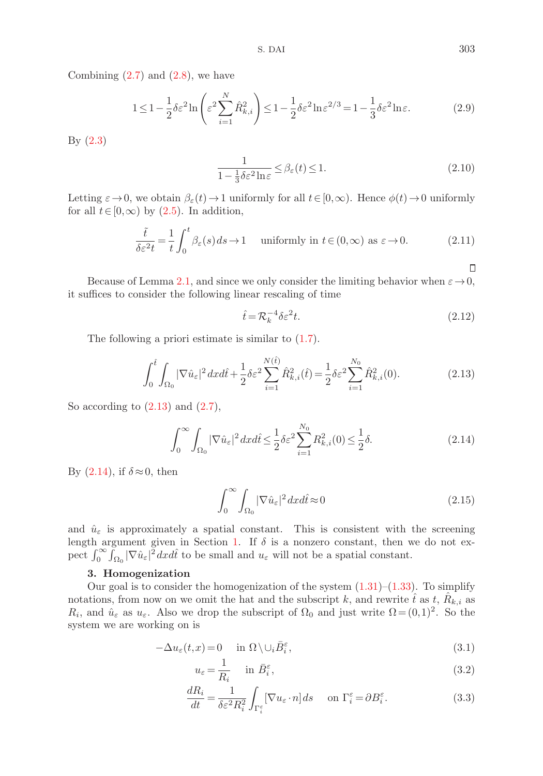S. DAI 303

Combining  $(2.7)$  and  $(2.8)$ , we have

$$
1 \le 1 - \frac{1}{2}\delta\varepsilon^2 \ln\left(\varepsilon^2 \sum_{i=1}^N \hat{R}_{k,i}^2\right) \le 1 - \frac{1}{2}\delta\varepsilon^2 \ln\varepsilon^{2/3} = 1 - \frac{1}{3}\delta\varepsilon^2 \ln\varepsilon. \tag{2.9}
$$

By (2.3)

$$
\frac{1}{1 - \frac{1}{3}\delta\varepsilon^2 \ln \varepsilon} \le \beta_\varepsilon(t) \le 1.
$$
\n(2.10)

Letting  $\varepsilon \to 0$ , we obtain  $\beta_{\varepsilon}(t) \to 1$  uniformly for all  $t \in [0,\infty)$ . Hence  $\phi(t) \to 0$  uniformly for all  $t \in [0,\infty)$  by  $(2.5)$ . In addition,

$$
\frac{\tilde{t}}{\delta \varepsilon^2 t} = \frac{1}{t} \int_0^t \beta_\varepsilon(s) \, ds \to 1 \quad \text{ uniformly in } t \in (0, \infty) \text{ as } \varepsilon \to 0. \tag{2.11}
$$

Because of Lemma 2.1, and since we only consider the limiting behavior when  $\varepsilon \to 0$ , it suffices to consider the following linear rescaling of time

$$
\hat{t} = \mathcal{R}_k^{-4} \delta \varepsilon^2 t. \tag{2.12}
$$

The following a priori estimate is similar to  $(1.7)$ .

$$
\int_0^{\hat{t}} \int_{\Omega_0} |\nabla \hat{u}_{\varepsilon}|^2 dx d\hat{t} + \frac{1}{2} \delta \varepsilon^2 \sum_{i=1}^{N(\hat{t})} \hat{R}_{k,i}^2(\hat{t}) = \frac{1}{2} \delta \varepsilon^2 \sum_{i=1}^{N_0} \hat{R}_{k,i}^2(0).
$$
 (2.13)

So according to  $(2.13)$  and  $(2.7)$ ,

$$
\int_0^\infty \int_{\Omega_0} |\nabla \hat{u}_\varepsilon|^2 dx d\hat{t} \le \frac{1}{2} \delta \varepsilon^2 \sum_{i=1}^{N_0} R_{k,i}^2(0) \le \frac{1}{2} \delta. \tag{2.14}
$$

By  $(2.14)$ , if  $\delta \approx 0$ , then

$$
\int_0^\infty \int_{\Omega_0} |\nabla \hat{u}_\varepsilon|^2 dx d\hat{t} \approx 0 \tag{2.15}
$$

and  $\hat{u}_{\varepsilon}$  is approximately a spatial constant. This is consistent with the screening length argument given in Section 1. If  $\delta$  is a nonzero constant, then we do not expect  $\int_0^\infty \int_{\Omega_0} |\nabla \hat{u}_\varepsilon|^2 dx d\hat{t}$  to be small and  $u_\varepsilon$  will not be a spatial constant.

## **3. Homogenization**

Our goal is to consider the homogenization of the system  $(1.31)$ – $(1.33)$ . To simplify notations, from now on we omit the hat and the subscript k, and rewrite  $\hat{t}$  as t,  $\hat{R}_{k,i}$  as  $R_i$ , and  $\hat{u}_{\varepsilon}$  as  $u_{\varepsilon}$ . Also we drop the subscript of  $\Omega_0$  and just write  $\Omega = (0,1)^2$ . So the system we are working on is

$$
-\Delta u_{\varepsilon}(t,x) = 0 \quad \text{in } \Omega \setminus \cup_{i} \bar{B}_{i}^{\varepsilon}, \tag{3.1}
$$

$$
u_{\varepsilon} = \frac{1}{R_i} \quad \text{in } \bar{B}_i^{\varepsilon},
$$
\n(3.2)

$$
\frac{dR_i}{dt} = \frac{1}{\delta \varepsilon^2 R_i^2} \int_{\Gamma_i^{\varepsilon}} [\nabla u_{\varepsilon} \cdot n] ds \quad \text{on } \Gamma_i^{\varepsilon} = \partial B_i^{\varepsilon}.
$$
 (3.3)

 $\Box$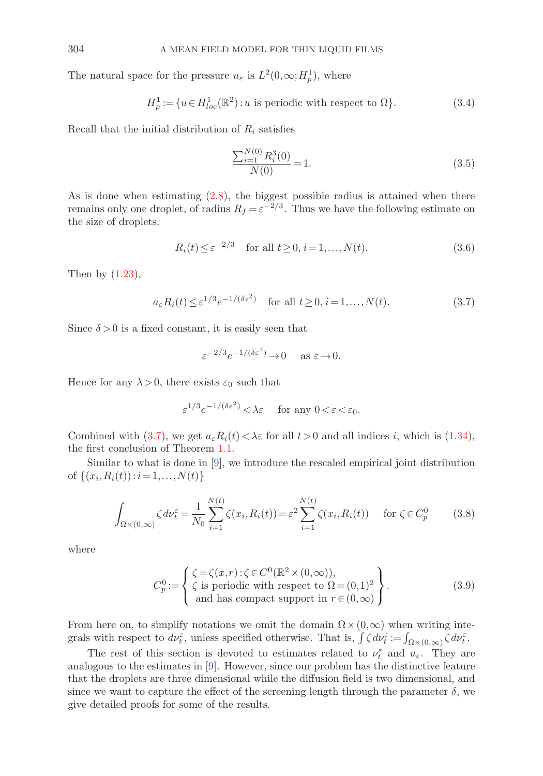The natural space for the pressure  $u_{\varepsilon}$  is  $L^2(0,\infty;H^1_p)$ , where

$$
H_p^1 := \{ u \in H_{loc}^1(\mathbb{R}^2) : u \text{ is periodic with respect to } \Omega \}. \tag{3.4}
$$

Recall that the initial distribution of  $R_i$  satisfies

$$
\frac{\sum_{i=1}^{N(0)} R_i^3(0)}{N(0)} = 1.
$$
\n(3.5)

As is done when estimating (2.8), the biggest possible radius is attained when there remains only one droplet, of radius  $R_f = \varepsilon^{-2/3}$ . Thus we have the following estimate on the size of droplets.

 $N(f(x))$ 

$$
R_i(t) \le \varepsilon^{-2/3} \quad \text{for all } t \ge 0, i = 1, \dots, N(t). \tag{3.6}
$$

Then by  $(1.23)$ ,

 $a_{\varepsilon}R_i(t) \leq \varepsilon^{1/3}e^{-1/(\delta\varepsilon^2)}$  for all  $t \geq 0, i = 1,...,N(t)$ . (3.7)

Since  $\delta > 0$  is a fixed constant, it is easily seen that

$$
\varepsilon^{-2/3} e^{-1/(\delta \varepsilon^2)} \to 0 \quad \text{as } \varepsilon \to 0.
$$

Hence for any  $\lambda > 0$ , there exists  $\varepsilon_0$  such that

$$
\varepsilon^{1/3} e^{-1/(\delta \varepsilon^2)} < \lambda \varepsilon \quad \text{ for any } 0 < \varepsilon < \varepsilon_0.
$$

Combined with (3.7), we get  $a_{\varepsilon}R_i(t) < \lambda \varepsilon$  for all  $t > 0$  and all indices i, which is (1.34), the first conclusion of Theorem 1.1.

Similar to what is done in [9], we introduce the rescaled empirical joint distribution of  $\{(x_i, R_i(t)) : i = 1, ..., N(t)\}\$ 

$$
\int_{\Omega \times (0,\infty)} \zeta \, d\nu_t^{\varepsilon} = \frac{1}{N_0} \sum_{i=1}^{N(t)} \zeta(x_i, R_i(t)) = \varepsilon^2 \sum_{i=1}^{N(t)} \zeta(x_i, R_i(t)) \quad \text{for } \zeta \in C_p^0 \tag{3.8}
$$

where

$$
C_p^0 := \begin{cases} \zeta = \zeta(x, r) : \zeta \in C^0(\mathbb{R}^2 \times (0, \infty)), \\ \zeta \text{ is periodic with respect to } \Omega = (0, 1)^2 \\ \text{and has compact support in } r \in (0, \infty) \end{cases}.
$$
 (3.9)

From here on, to simplify notations we omit the domain  $\Omega \times (0,\infty)$  when writing integrals with respect to  $d\nu_t^{\varepsilon}$ , unless specified otherwise. That is,  $\int \zeta d\nu_t^{\varepsilon} := \int_{\Omega \times (0,\infty)} \zeta d\nu_t^{\varepsilon}$ .

The rest of this section is devoted to estimates related to  $\nu_t^{\varepsilon}$  and  $u_{\varepsilon}$ . They are analogous to the estimates in [9]. However, since our problem has the distinctive feature that the droplets are three dimensional while the diffusion field is two dimensional, and since we want to capture the effect of the screening length through the parameter  $\delta$ , we give detailed proofs for some of the results.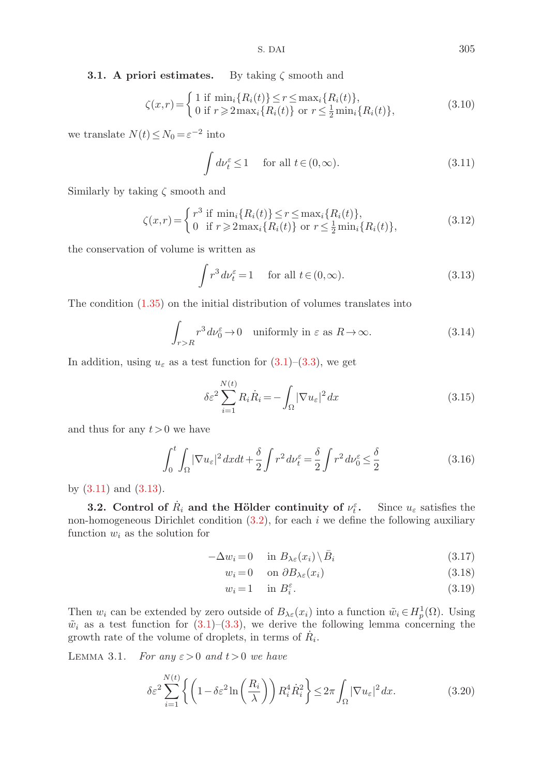**3.1. A priori estimates.** By taking ζ smooth and

$$
\zeta(x,r) = \begin{cases} 1 \text{ if } \min_i \{ R_i(t) \} \le r \le \max_i \{ R_i(t) \}, \\ 0 \text{ if } r \ge 2 \max_i \{ R_i(t) \} \text{ or } r \le \frac{1}{2} \min_i \{ R_i(t) \}, \end{cases}
$$
(3.10)

we translate  $N(t) \leq N_0 = \varepsilon^{-2}$  into

$$
\int d\nu_t^{\varepsilon} \le 1 \quad \text{ for all } t \in (0, \infty). \tag{3.11}
$$

Similarly by taking  $\zeta$  smooth and

$$
\zeta(x,r) = \begin{cases}\nr^3 & \text{if } \min_i \{R_i(t)\} \le r \le \max_i \{R_i(t)\}, \\
0 & \text{if } r \ge 2 \max_i \{R_i(t)\} \text{ or } r \le \frac{1}{2} \min_i \{R_i(t)\},\n\end{cases} \tag{3.12}
$$

the conservation of volume is written as

$$
\int r^3 \, d\nu_t^{\varepsilon} = 1 \quad \text{ for all } t \in (0, \infty). \tag{3.13}
$$

The condition (1.35) on the initial distribution of volumes translates into

$$
\int_{r>R} r^3 d\nu_0^{\varepsilon} \to 0 \quad \text{uniformly in } \varepsilon \text{ as } R \to \infty. \tag{3.14}
$$

In addition, using  $u_{\varepsilon}$  as a test function for  $(3.1)$ – $(3.3)$ , we get

$$
\delta \varepsilon^2 \sum_{i=1}^{N(t)} R_i \dot{R}_i = -\int_{\Omega} |\nabla u_{\varepsilon}|^2 dx \tag{3.15}
$$

and thus for any  $t > 0$  we have

$$
\int_0^t \int_{\Omega} |\nabla u_{\varepsilon}|^2 dxdt + \frac{\delta}{2} \int r^2 d\nu_t^{\varepsilon} = \frac{\delta}{2} \int r^2 d\nu_0^{\varepsilon} \le \frac{\delta}{2}
$$
\n(3.16)

by  $(3.11)$  and  $(3.13)$ .

**3.2.** Control of  $\dot{R}_i$  and the Hölder continuity of  $\nu_t^{\varepsilon}$ . Since  $u_{\varepsilon}$  satisfies the non-homogeneous Dirichlet condition  $(3.2)$ , for each i we define the following auxiliary function  $w_i$  as the solution for

$$
-\Delta w_i = 0 \quad \text{in } B_{\lambda \varepsilon}(x_i) \setminus \bar{B}_i \tag{3.17}
$$

$$
w_i = 0 \quad \text{on } \partial B_{\lambda \varepsilon}(x_i) \tag{3.18}
$$

$$
w_i = 1 \quad \text{in } B_i^{\varepsilon}.
$$
\n
$$
(3.19)
$$

Then  $w_i$  can be extended by zero outside of  $B_{\lambda \varepsilon}(x_i)$  into a function  $\tilde{w}_i \in H^1_p(\Omega)$ . Using  $\tilde{w}_i$  as a test function for (3.1)–(3.3), we derive the following lemma concerning the growth rate of the volume of droplets, in terms of  $R_i$ .

LEMMA 3.1. For any  $\varepsilon > 0$  and  $t > 0$  we have

$$
\delta \varepsilon^2 \sum_{i=1}^{N(t)} \left\{ \left( 1 - \delta \varepsilon^2 \ln \left( \frac{R_i}{\lambda} \right) \right) R_i^4 \dot{R}_i^2 \right\} \le 2\pi \int_{\Omega} |\nabla u_{\varepsilon}|^2 dx. \tag{3.20}
$$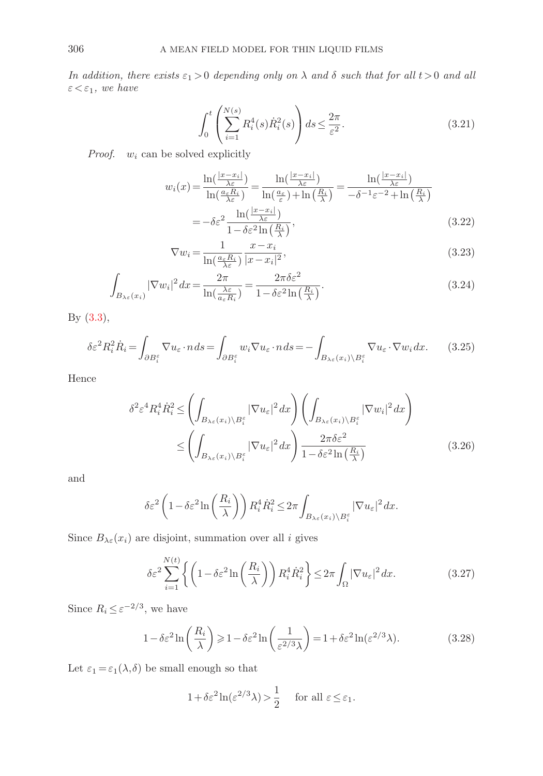In addition, there exists  $\varepsilon_1 > 0$  depending only on  $\lambda$  and  $\delta$  such that for all  $t > 0$  and all  $\varepsilon < \varepsilon_1$ , we have

$$
\int_0^t \left( \sum_{i=1}^{N(s)} R_i^4(s) \dot{R}_i^2(s) \right) ds \le \frac{2\pi}{\varepsilon^2}.
$$
 (3.21)

*Proof.*  $w_i$  can be solved explicitly

$$
w_i(x) = \frac{\ln\left(\frac{|x - x_i|}{\lambda \varepsilon}\right)}{\ln\left(\frac{a_\varepsilon R_i}{\lambda \varepsilon}\right)} = \frac{\ln\left(\frac{|x - x_i|}{\lambda \varepsilon}\right)}{\ln\left(\frac{a_\varepsilon}{\varepsilon}\right) + \ln\left(\frac{R_i}{\lambda}\right)} = \frac{\ln\left(\frac{|x - x_i|}{\lambda \varepsilon}\right)}{-\delta^{-1}\varepsilon^{-2} + \ln\left(\frac{R_i}{\lambda}\right)}
$$

$$
= -\delta\varepsilon^2 \frac{\ln\left(\frac{|x - x_i|}{\lambda \varepsilon}\right)}{1 - \delta\varepsilon^2 \ln\left(\frac{R_i}{\lambda}\right)},\tag{3.22}
$$

$$
\nabla w_i = \frac{1}{\ln\left(\frac{a_\varepsilon R_i}{\lambda \varepsilon}\right)} \frac{x - x_i}{|x - x_i|^2},\tag{3.23}
$$

$$
\int_{B_{\lambda\varepsilon}(x_i)} |\nabla w_i|^2 dx = \frac{2\pi}{\ln\left(\frac{\lambda\varepsilon}{a_\varepsilon R_i}\right)} = \frac{2\pi\delta\varepsilon^2}{1 - \delta\varepsilon^2 \ln\left(\frac{R_i}{\lambda}\right)}.
$$
\n(3.24)

By (3.3),

$$
\delta \varepsilon^2 R_i^2 \dot{R}_i = \int_{\partial B_i^{\varepsilon}} \nabla u_{\varepsilon} \cdot n \, ds = \int_{\partial B_i^{\varepsilon}} w_i \nabla u_{\varepsilon} \cdot n \, ds = - \int_{B_{\lambda \varepsilon}(x_i) \setminus B_i^{\varepsilon}} \nabla u_{\varepsilon} \cdot \nabla w_i \, dx. \tag{3.25}
$$

Hence

$$
\delta^2 \varepsilon^4 R_i^4 \dot{R}_i^2 \le \left( \int_{B_{\lambda \varepsilon}(x_i) \setminus B_i^{\varepsilon}} |\nabla u_{\varepsilon}|^2 dx \right) \left( \int_{B_{\lambda \varepsilon}(x_i) \setminus B_i^{\varepsilon}} |\nabla w_i|^2 dx \right)
$$
  

$$
\le \left( \int_{B_{\lambda \varepsilon}(x_i) \setminus B_i^{\varepsilon}} |\nabla u_{\varepsilon}|^2 dx \right) \frac{2\pi \delta \varepsilon^2}{1 - \delta \varepsilon^2 \ln\left(\frac{R_i}{\lambda}\right)} \tag{3.26}
$$

and

$$
\delta \varepsilon^2 \left( 1 - \delta \varepsilon^2 \ln \left( \frac{R_i}{\lambda} \right) \right) R_i^4 \dot{R}_i^2 \le 2\pi \int_{B_{\lambda \varepsilon}(x_i) \setminus B_i^{\varepsilon}} |\nabla u_{\varepsilon}|^2 dx.
$$

Since  $B_{\lambda \varepsilon}(x_i)$  are disjoint, summation over all i gives

$$
\delta \varepsilon^2 \sum_{i=1}^{N(t)} \left\{ \left( 1 - \delta \varepsilon^2 \ln \left( \frac{R_i}{\lambda} \right) \right) R_i^4 \dot{R}_i^2 \right\} \le 2\pi \int_{\Omega} |\nabla u_{\varepsilon}|^2 dx. \tag{3.27}
$$

Since  $R_i \leq \varepsilon^{-2/3}$ , we have

$$
1 - \delta \varepsilon^2 \ln\left(\frac{R_i}{\lambda}\right) \ge 1 - \delta \varepsilon^2 \ln\left(\frac{1}{\varepsilon^{2/3} \lambda}\right) = 1 + \delta \varepsilon^2 \ln(\varepsilon^{2/3} \lambda). \tag{3.28}
$$

Let  $\varepsilon_1\!=\!\varepsilon_1(\lambda,\delta)$  be small enough so that

$$
1 + \delta \varepsilon^2 \ln(\varepsilon^{2/3} \lambda) > \frac{1}{2}
$$
 for all  $\varepsilon \le \varepsilon_1$ .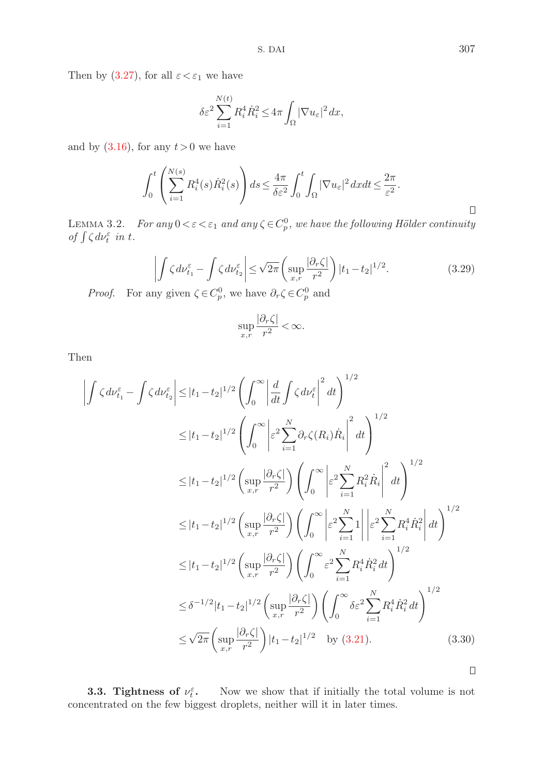Then by (3.27), for all  $\varepsilon < \varepsilon_1$  we have

$$
\delta \varepsilon^2 \sum_{i=1}^{N(t)} R_i^4 \dot R_i^2 \le 4\pi \int_{\Omega} |\nabla u_\varepsilon|^2 dx,
$$

and by  $(3.16)$ , for any  $t > 0$  we have

$$
\int_0^t \left( \sum_{i=1}^{N(s)} R_i^4(s) \dot{R}_i^2(s) \right) ds \le \frac{4\pi}{\delta \varepsilon^2} \int_0^t \int_{\Omega} |\nabla u_{\varepsilon}|^2 dx dt \le \frac{2\pi}{\varepsilon^2}.
$$

LEMMA 3.2. For any  $0 < \varepsilon < \varepsilon_1$  and any  $\zeta \in C_p^0$ , we have the following Hölder continuity of  $\int \zeta d\nu_t^{\varepsilon}$  in t.

$$
\left| \int \zeta \, d\nu_{t_1}^{\varepsilon} - \int \zeta \, d\nu_{t_2}^{\varepsilon} \right| \le \sqrt{2\pi} \left( \sup_{x,r} \frac{|\partial_r \zeta|}{r^2} \right) |t_1 - t_2|^{1/2}.
$$
 (3.29)

*Proof.* For any given  $\zeta \in C_p^0$ , we have  $\partial_r \zeta \in C_p^0$  and

$$
\sup_{x,r}\frac{|\partial_r\zeta|}{r^2}<\infty.
$$

Then

$$
\left| \int \zeta d\nu_{t_1}^{\varepsilon} - \int \zeta d\nu_{t_2}^{\varepsilon} \right| \leq |t_1 - t_2|^{1/2} \left( \int_0^{\infty} \left| \frac{d}{dt} \int \zeta d\nu_t^{\varepsilon} \right|^2 dt \right)^{1/2}
$$
  
\n
$$
\leq |t_1 - t_2|^{1/2} \left( \int_0^{\infty} \left| \varepsilon^2 \sum_{i=1}^N \partial_r \zeta(R_i) \dot{R}_i \right|^2 dt \right)^{1/2}
$$
  
\n
$$
\leq |t_1 - t_2|^{1/2} \left( \sup_{x,r} \frac{|\partial_r \zeta|}{r^2} \right) \left( \int_0^{\infty} \left| \varepsilon^2 \sum_{i=1}^N R_i^2 \dot{R}_i \right|^2 dt \right)^{1/2}
$$
  
\n
$$
\leq |t_1 - t_2|^{1/2} \left( \sup_{x,r} \frac{|\partial_r \zeta|}{r^2} \right) \left( \int_0^{\infty} \left| \varepsilon^2 \sum_{i=1}^N 1 \right| \left| \varepsilon^2 \sum_{i=1}^N R_i^4 \dot{R}_i^2 \right| dt \right)^{1/2}
$$
  
\n
$$
\leq |t_1 - t_2|^{1/2} \left( \sup_{x,r} \frac{|\partial_r \zeta|}{r^2} \right) \left( \int_0^{\infty} \varepsilon^2 \sum_{i=1}^N R_i^4 \dot{R}_i^2 dt \right)^{1/2}
$$
  
\n
$$
\leq \delta^{-1/2} |t_1 - t_2|^{1/2} \left( \sup_{x,r} \frac{|\partial_r \zeta|}{r^2} \right) \left( \int_0^{\infty} \delta \varepsilon^2 \sum_{i=1}^N R_i^4 \dot{R}_i^2 dt \right)^{1/2}
$$
  
\n
$$
\leq \sqrt{2\pi} \left( \sup_{x,r} \frac{|\partial_r \zeta|}{r^2} \right) |t_1 - t_2|^{1/2} \quad \text{by (3.21).}
$$
  
\n(3.30)

**3.3.** Tightness of  $\nu_t^{\varepsilon}$ . <sup>t</sup> **.** Now we show that if initially the total volume is not concentrated on the few biggest droplets, neither will it in later times.

 $\Box$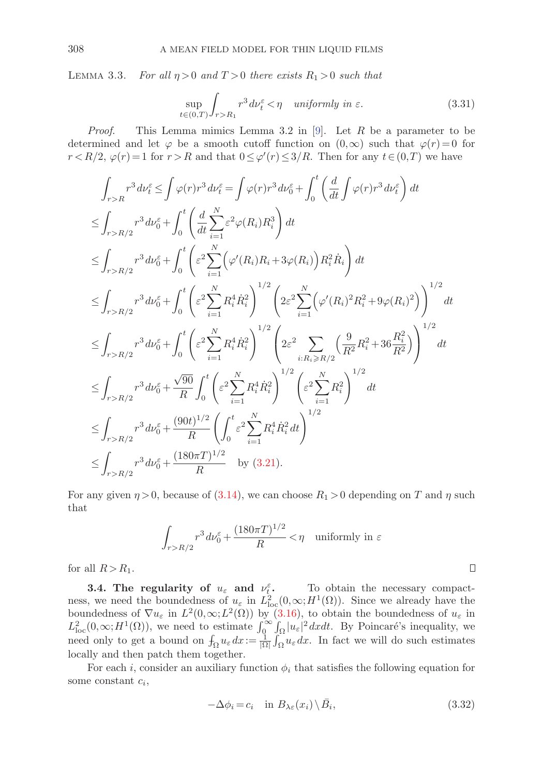LEMMA 3.3. For all  $\eta > 0$  and  $T > 0$  there exists  $R_1 > 0$  such that

$$
\sup_{t \in (0,T)} \int_{r > R_1} r^3 \, d\nu_t^{\varepsilon} < \eta \quad \text{uniformly in } \varepsilon. \tag{3.31}
$$

*Proof.* This Lemma mimics Lemma 3.2 in [9]. Let R be a parameter to be determined and let  $\varphi$  be a smooth cutoff function on  $(0,\infty)$  such that  $\varphi(r)=0$  for  $r < R/2$ ,  $\varphi(r) = 1$  for  $r > R$  and that  $0 \le \varphi'(r) \le 3/R$ . Then for any  $t \in (0,T)$  we have

$$
\int_{r>R} r^3 d\nu_t^{\varepsilon} \leq \int \varphi(r) r^3 d\nu_t^{\varepsilon} = \int \varphi(r) r^3 d\nu_0^{\varepsilon} + \int_0^t \left( \frac{d}{dt} \int \varphi(r) r^3 d\nu_t^{\varepsilon} \right) dt
$$
  
\n
$$
\leq \int_{r>R/2} r^3 d\nu_0^{\varepsilon} + \int_0^t \left( \frac{d}{dt} \sum_{i=1}^N \varepsilon^2 \varphi(R_i) R_i^3 \right) dt
$$
  
\n
$$
\leq \int_{r>R/2} r^3 d\nu_0^{\varepsilon} + \int_0^t \left( \varepsilon^2 \sum_{i=1}^N \left( \varphi'(R_i) R_i + 3\varphi(R_i) \right) R_i^2 \dot{R}_i \right) dt
$$
  
\n
$$
\leq \int_{r>R/2} r^3 d\nu_0^{\varepsilon} + \int_0^t \left( \varepsilon^2 \sum_{i=1}^N R_i^4 \dot{R}_i^2 \right)^{1/2} \left( 2\varepsilon^2 \sum_{i=1}^N \left( \varphi'(R_i)^2 R_i^2 + 9\varphi(R_i)^2 \right) \right)^{1/2} dt
$$
  
\n
$$
\leq \int_{r>R/2} r^3 d\nu_0^{\varepsilon} + \int_0^t \left( \varepsilon^2 \sum_{i=1}^N R_i^4 \dot{R}_i^2 \right)^{1/2} \left( 2\varepsilon^2 \sum_{i:R_i \ge R/2} \left( \frac{9}{R^2} R_i^2 + 36 \frac{R_i^2}{R^2} \right) \right)^{1/2} dt
$$
  
\n
$$
\leq \int_{r>R/2} r^3 d\nu_0^{\varepsilon} + \frac{\sqrt{90}}{R} \int_0^t \left( \varepsilon^2 \sum_{i=1}^N R_i^4 \dot{R}_i^2 \right)^{1/2} \left( \varepsilon^2 \sum_{i=1}^N R_i^2 \right)^{1/2}
$$
  
\n
$$
\leq \int_{r>R/2} r^3 d\nu_0^{\varepsilon} + \frac{(90t)^{1/2}}{R} \left( \int_0^t \varepsilon^2 \
$$

For any given  $\eta > 0$ , because of (3.14), we can choose  $R_1 > 0$  depending on T and  $\eta$  such that

$$
\int_{r>R/2} r^3 d\nu_0^{\varepsilon} + \frac{(180\pi T)^{1/2}}{R} < \eta \quad \text{uniformly in } \varepsilon
$$

for all  $R > R_1$ .

**3.4. The regularity of**  $u_{\varepsilon}$  **and**  $v_{t}^{\varepsilon}$ **. To obtain the necessary compact**ness, we need the boundedness of  $u_{\varepsilon}$  in  $L^2_{loc}(0,\infty;H^1(\Omega))$ . Since we already have the boundedness of  $\nabla u_{\varepsilon}$  in  $L^2(0,\infty; L^2(\Omega))$  by (3.16), to obtain the boundedness of  $u_{\varepsilon}$  in  $L^2_{\text{loc}}(0,\infty; H^1(\Omega))$ , we need to estimate  $\int_0^{\infty} \int_{\Omega} |u_{\varepsilon}|^2 dxdt$ . By Poincaré's inequality, we need only to get a bound on  $f_{\Omega} u_{\varepsilon} dx := \frac{1}{|\Omega|} \int_{\Omega} u_{\varepsilon} dx$ . In fact we will do such estimates locally and then patch them together.

For each i, consider an auxiliary function  $\phi_i$  that satisfies the following equation for some constant  $c_i$ ,

$$
-\Delta\phi_i = c_i \quad \text{in } B_{\lambda\varepsilon}(x_i) \setminus \bar{B}_i,
$$
\n(3.32)

 $\Box$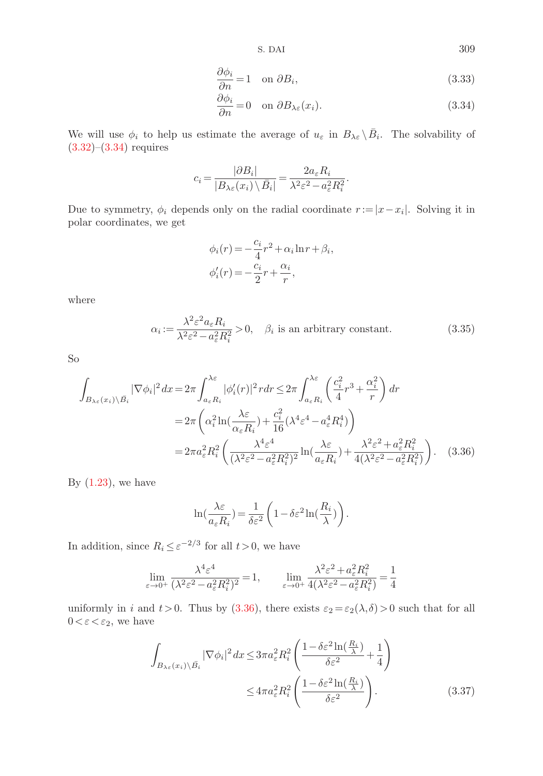S. DAI 309

$$
\frac{\partial \phi_i}{\partial n} = 1 \quad \text{on } \partial B_i,\tag{3.33}
$$

$$
\frac{\partial \phi_i}{\partial n} = 0 \quad \text{on } \partial B_{\lambda \varepsilon}(x_i). \tag{3.34}
$$

We will use  $\phi_i$  to help us estimate the average of  $u_{\varepsilon}$  in  $B_{\lambda\varepsilon} \setminus \overline{B}_i$ . The solvability of  $(3.32)$ – $(3.34)$  requires

$$
c_i = \frac{|\partial B_i|}{|B_{\lambda \varepsilon}(x_i) \setminus \overline{B}_i|} = \frac{2a_{\varepsilon}R_i}{\lambda^2 \varepsilon^2 - a_{\varepsilon}^2 R_i^2}.
$$

Due to symmetry,  $\phi_i$  depends only on the radial coordinate  $r := |x - x_i|$ . Solving it in polar coordinates, we get

$$
\phi_i(r) = -\frac{c_i}{4}r^2 + \alpha_i \ln r + \beta_i,
$$
  

$$
\phi'_i(r) = -\frac{c_i}{2}r + \frac{\alpha_i}{r},
$$

where

$$
\alpha_i := \frac{\lambda^2 \varepsilon^2 a_\varepsilon R_i}{\lambda^2 \varepsilon^2 - a_\varepsilon^2 R_i^2} > 0, \quad \beta_i \text{ is an arbitrary constant.} \tag{3.35}
$$

So

$$
\int_{B_{\lambda\varepsilon}(x_i)\backslash \bar{B}_i} |\nabla \phi_i|^2 dx = 2\pi \int_{a_\varepsilon R_i}^{\lambda\varepsilon} |\phi_i'(r)|^2 r dr \le 2\pi \int_{a_\varepsilon R_i}^{\lambda\varepsilon} \left(\frac{c_i^2}{4} r^3 + \frac{\alpha_i^2}{r}\right) dr
$$
  
\n
$$
= 2\pi \left(\alpha_i^2 \ln\left(\frac{\lambda\varepsilon}{\alpha_\varepsilon R_i}\right) + \frac{c_i^2}{16} (\lambda^4 \varepsilon^4 - a_\varepsilon^4 R_i^4)\right)
$$
  
\n
$$
= 2\pi a_\varepsilon^2 R_i^2 \left(\frac{\lambda^4 \varepsilon^4}{(\lambda^2 \varepsilon^2 - a_\varepsilon^2 R_i^2)^2} \ln\left(\frac{\lambda\varepsilon}{a_\varepsilon R_i}\right) + \frac{\lambda^2 \varepsilon^2 + a_\varepsilon^2 R_i^2}{4(\lambda^2 \varepsilon^2 - a_\varepsilon^2 R_i^2)}\right).
$$
 (3.36)

By  $(1.23)$ , we have

$$
\ln\left(\frac{\lambda \varepsilon}{a_{\varepsilon} R_i}\right) = \frac{1}{\delta \varepsilon^2} \left(1 - \delta \varepsilon^2 \ln\left(\frac{R_i}{\lambda}\right)\right).
$$

In addition, since  $R_i \leq \varepsilon^{-2/3}$  for all  $t > 0$ , we have

$$
\lim_{\varepsilon\to0^+}\frac{\lambda^4\varepsilon^4}{(\lambda^2\varepsilon^2-a_\varepsilon^2R_i^2)^2}=1,\qquad \lim_{\varepsilon\to0^+}\frac{\lambda^2\varepsilon^2+a_\varepsilon^2R_i^2}{4(\lambda^2\varepsilon^2-a_\varepsilon^2R_i^2)}=\frac{1}{4}
$$

uniformly in i and  $t > 0$ . Thus by (3.36), there exists  $\varepsilon_2 = \varepsilon_2(\lambda, \delta) > 0$  such that for all  $0 < \varepsilon < \varepsilon_2$ , we have

$$
\int_{B_{\lambda\varepsilon}(x_i)\setminus\bar{B}_i} |\nabla \phi_i|^2 dx \le 3\pi a_\varepsilon^2 R_i^2 \left( \frac{1 - \delta \varepsilon^2 \ln(\frac{R_i}{\lambda})}{\delta \varepsilon^2} + \frac{1}{4} \right) \le 4\pi a_\varepsilon^2 R_i^2 \left( \frac{1 - \delta \varepsilon^2 \ln(\frac{R_i}{\lambda})}{\delta \varepsilon^2} \right). \tag{3.37}
$$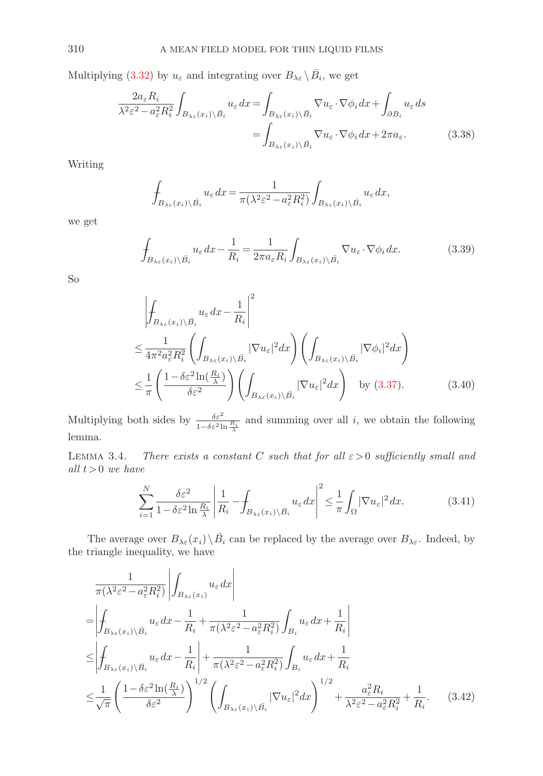Multiplying (3.32) by  $u_{\varepsilon}$  and integrating over  $B_{\lambda \varepsilon} \setminus \overline{B}_i$ , we get

$$
\frac{2a_{\varepsilon}R_{i}}{\lambda^{2}\varepsilon^{2}-a_{\varepsilon}^{2}R_{i}^{2}}\int_{B_{\lambda\varepsilon}(x_{i})\setminus\bar{B}_{i}}u_{\varepsilon}dx = \int_{B_{\lambda\varepsilon}(x_{i})\setminus\bar{B}_{i}}\nabla u_{\varepsilon}\cdot\nabla\phi_{i}dx + \int_{\partial B_{i}}u_{\varepsilon}ds
$$
\n
$$
= \int_{B_{\lambda\varepsilon}(x_{i})\setminus\bar{B}_{i}}\nabla u_{\varepsilon}\cdot\nabla\phi_{i}dx + 2\pi a_{\varepsilon}.\tag{3.38}
$$

Writing

$$
\int_{B_{\lambda\varepsilon}(x_i)\setminus\bar{B_i}} u_\varepsilon dx = \frac{1}{\pi(\lambda^2 \varepsilon^2 - a_\varepsilon^2 R_i^2)} \int_{B_{\lambda\varepsilon}(x_i)\setminus\bar{B_i}} u_\varepsilon dx,
$$

we get

$$
\int_{B_{\lambda\varepsilon}(x_i)\setminus\bar{B_i}} u_\varepsilon dx - \frac{1}{R_i} = \frac{1}{2\pi a_\varepsilon R_i} \int_{B_{\lambda\varepsilon}(x_i)\setminus\bar{B_i}} \nabla u_\varepsilon \cdot \nabla \phi_i dx.
$$
\n(3.39)

So

$$
\left| \oint_{B_{\lambda_{\varepsilon}}(x_{i}) \setminus \bar{B}_{i}} u_{\varepsilon} dx - \frac{1}{R_{i}} \right|^{2} \leq \frac{1}{4\pi^{2} a_{\varepsilon}^{2} R_{i}^{2}} \left( \int_{B_{\lambda_{\varepsilon}}(x_{i}) \setminus \bar{B}_{i}} |\nabla u_{\varepsilon}|^{2} dx \right) \left( \int_{B_{\lambda_{\varepsilon}}(x_{i}) \setminus \bar{B}_{i}} |\nabla \phi_{i}|^{2} dx \right) \leq \frac{1}{\pi} \left( \frac{1 - \delta \varepsilon^{2} \ln(\frac{R_{i}}{\lambda})}{\delta \varepsilon^{2}} \right) \left( \int_{B_{\lambda_{\varepsilon}}(x_{i}) \setminus \bar{B}_{i}} |\nabla u_{\varepsilon}|^{2} dx \right) \quad \text{by (3.37)}.
$$

Multiplying both sides by  $\frac{\delta \varepsilon^2}{1-\delta \varepsilon^2 \ln \frac{R_i}{\lambda}}$  and summing over all *i*, we obtain the following lemma.

LEMMA 3.4. There exists a constant C such that for all  $\varepsilon > 0$  sufficiently small and all  $t > 0$  we have

$$
\sum_{i=1}^{N} \frac{\delta \varepsilon^2}{1 - \delta \varepsilon^2 \ln \frac{R_i}{\lambda}} \left| \frac{1}{R_i} - \int_{B_{\lambda \varepsilon}(x_i) \setminus \overline{B}_i} u_{\varepsilon} dx \right|^2 \leq \frac{1}{\pi} \int_{\Omega} |\nabla u_{\varepsilon}|^2 dx. \tag{3.41}
$$

The average over  $B_{\lambda \varepsilon}(x_i) \setminus \overline{B}_i$  can be replaced by the average over  $B_{\lambda \varepsilon}$ . Indeed, by the triangle inequality, we have

$$
\frac{1}{\pi(\lambda^2 \varepsilon^2 - a_\varepsilon^2 R_i^2)} \left| \int_{B_{\lambda_\varepsilon}(x_i)} u_\varepsilon dx \right|
$$
\n
$$
= \left| \int_{B_{\lambda_\varepsilon}(x_i) \setminus \bar{B}_i} u_\varepsilon dx - \frac{1}{R_i} + \frac{1}{\pi(\lambda^2 \varepsilon^2 - a_\varepsilon^2 R_i^2)} \int_{B_i} u_\varepsilon dx + \frac{1}{R_i} \right|
$$
\n
$$
\leq \left| \int_{B_{\lambda_\varepsilon}(x_i) \setminus \bar{B}_i} u_\varepsilon dx - \frac{1}{R_i} \right| + \frac{1}{\pi(\lambda^2 \varepsilon^2 - a_\varepsilon^2 R_i^2)} \int_{B_i} u_\varepsilon dx + \frac{1}{R_i}
$$
\n
$$
\leq \frac{1}{\sqrt{\pi}} \left( \frac{1 - \delta \varepsilon^2 \ln(\frac{R_i}{\lambda})}{\delta \varepsilon^2} \right)^{1/2} \left( \int_{B_{\lambda_\varepsilon}(x_i) \setminus \bar{B}_i} |\nabla u_\varepsilon|^2 dx \right)^{1/2} + \frac{a_\varepsilon^2 R_i}{\lambda^2 \varepsilon^2 - a_\varepsilon^2 R_i^2} + \frac{1}{R_i}.
$$
\n(3.42)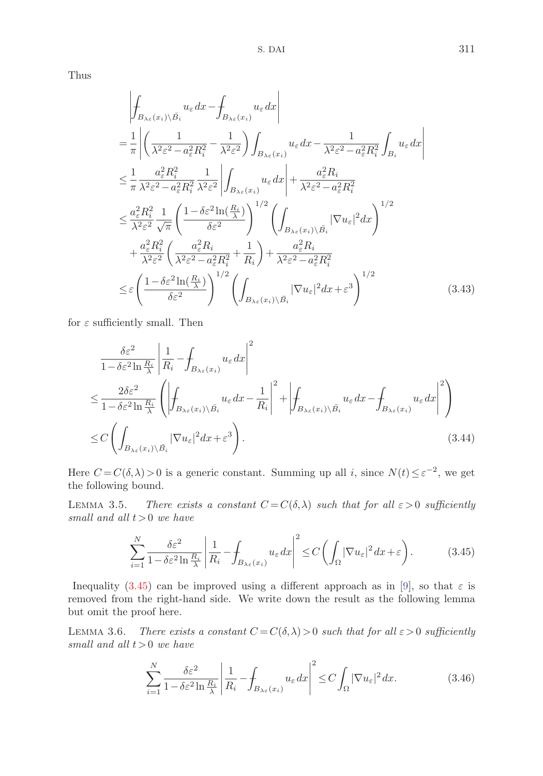Thus

$$
\begin{split}\n&\left| \oint_{B_{\lambda_{\varepsilon}}(x_{i}) \setminus \bar{B}_{i}} u_{\varepsilon} dx - \oint_{B_{\lambda_{\varepsilon}}(x_{i})} u_{\varepsilon} dx \right| \\
&= \frac{1}{\pi} \left| \left( \frac{1}{\lambda^{2} \varepsilon^{2} - a_{\varepsilon}^{2} R_{i}^{2}} - \frac{1}{\lambda^{2} \varepsilon^{2}} \right) \int_{B_{\lambda_{\varepsilon}}(x_{i})} u_{\varepsilon} dx - \frac{1}{\lambda^{2} \varepsilon^{2} - a_{\varepsilon}^{2} R_{i}^{2}} \int_{B_{i}} u_{\varepsilon} dx \right| \\
&\leq \frac{1}{\pi} \frac{a_{\varepsilon}^{2} R_{i}^{2}}{\lambda^{2} \varepsilon^{2} - a_{\varepsilon}^{2} R_{i}^{2}} \frac{1}{\lambda^{2} \varepsilon^{2}} \left| \int_{B_{\lambda_{\varepsilon}}(x_{i})} u_{\varepsilon} dx \right| + \frac{a_{\varepsilon}^{2} R_{i}}{\lambda^{2} \varepsilon^{2} - a_{\varepsilon}^{2} R_{i}^{2}} \\
&\leq \frac{a_{\varepsilon}^{2} R_{i}^{2}}{\lambda^{2} \varepsilon^{2}} \frac{1}{\sqrt{\pi}} \left( \frac{1 - \delta \varepsilon^{2} \ln(\frac{R_{i}}{\lambda})}{\delta \varepsilon^{2}} \right)^{1/2} \left( \int_{B_{\lambda_{\varepsilon}}(x_{i}) \setminus \bar{B}_{i}} |\nabla u_{\varepsilon}|^{2} dx \right)^{1/2} \\
&+ \frac{a_{\varepsilon}^{2} R_{i}^{2}}{\lambda^{2} \varepsilon^{2}} \left( \frac{a_{\varepsilon}^{2} R_{i}}{\lambda^{2} \varepsilon^{2} - a_{\varepsilon}^{2} R_{i}^{2}} + \frac{1}{R_{i}} \right) + \frac{a_{\varepsilon}^{2} R_{i}}{\lambda^{2} \varepsilon^{2} - a_{\varepsilon}^{2} R_{i}^{2}} \\
&\leq \varepsilon \left( \frac{1 - \delta \varepsilon^{2} \ln(\frac{R_{i}}{\lambda})}{\delta \varepsilon^{2}} \right)^{1/2} \left( \int_{B_{\lambda_{\varepsilon}}(x
$$

for  $\varepsilon$  sufficiently small. Then

$$
\frac{\delta \varepsilon^{2}}{1 - \delta \varepsilon^{2} \ln \frac{R_{i}}{\lambda}} \left| \frac{1}{R_{i}} - \int_{B_{\lambda \varepsilon}(x_{i})} u_{\varepsilon} dx \right|^{2}
$$
\n
$$
\leq \frac{2\delta \varepsilon^{2}}{1 - \delta \varepsilon^{2} \ln \frac{R_{i}}{\lambda}} \left( \left| \int_{B_{\lambda \varepsilon}(x_{i}) \setminus \bar{B}_{i}} u_{\varepsilon} dx - \frac{1}{R_{i}} \right|^{2} + \left| \int_{B_{\lambda \varepsilon}(x_{i}) \setminus \bar{B}_{i}} u_{\varepsilon} dx - \int_{B_{\lambda \varepsilon}(x_{i})} u_{\varepsilon} dx \right|^{2} \right)
$$
\n
$$
\leq C \left( \int_{B_{\lambda \varepsilon}(x_{i}) \setminus \bar{B}_{i}} |\nabla u_{\varepsilon}|^{2} dx + \varepsilon^{3} \right). \tag{3.44}
$$

Here  $C = C(\delta, \lambda) > 0$  is a generic constant. Summing up all i, since  $N(t) \leq \varepsilon^{-2}$ , we get the following bound.

LEMMA 3.5. There exists a constant  $C = C(\delta, \lambda)$  such that for all  $\varepsilon > 0$  sufficiently small and all  $t > 0$  we have

$$
\sum_{i=1}^{N} \frac{\delta \varepsilon^2}{1 - \delta \varepsilon^2 \ln \frac{R_i}{\lambda}} \left| \frac{1}{R_i} - \int_{B_{\lambda \varepsilon}(x_i)} u_{\varepsilon} dx \right|^2 \le C \left( \int_{\Omega} |\nabla u_{\varepsilon}|^2 dx + \varepsilon \right). \tag{3.45}
$$

Inequality (3.45) can be improved using a different approach as in [9], so that  $\varepsilon$  is removed from the right-hand side. We write down the result as the following lemma but omit the proof here.

LEMMA 3.6. There exists a constant  $C = C(\delta, \lambda) > 0$  such that for all  $\varepsilon > 0$  sufficiently small and all  $t > 0$  we have

$$
\sum_{i=1}^{N} \frac{\delta \varepsilon^2}{1 - \delta \varepsilon^2 \ln \frac{R_i}{\lambda}} \left| \frac{1}{R_i} - \int_{B_{\lambda \varepsilon}(x_i)} u_{\varepsilon} dx \right|^2 \le C \int_{\Omega} |\nabla u_{\varepsilon}|^2 dx.
$$
 (3.46)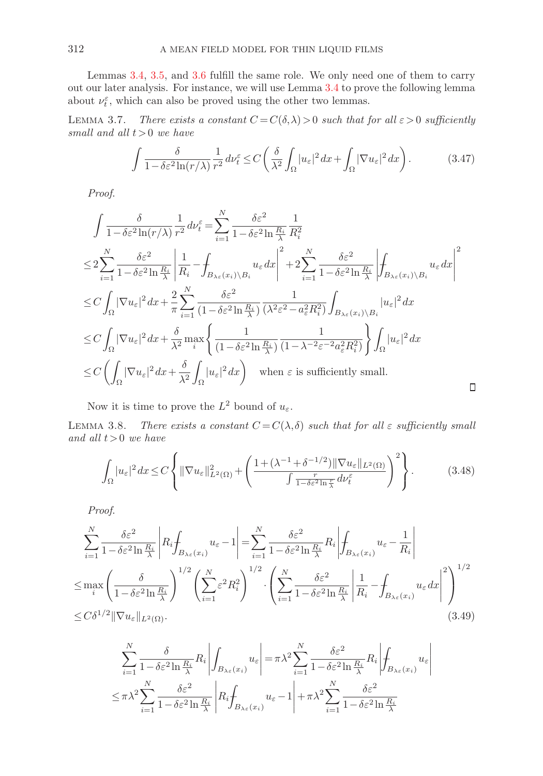Lemmas 3.4, 3.5, and 3.6 fulfill the same role. We only need one of them to carry out our later analysis. For instance, we will use Lemma 3.4 to prove the following lemma about  $\nu_t^{\varepsilon}$ , which can also be proved using the other two lemmas.

LEMMA 3.7. There exists a constant  $C = C(\delta, \lambda) > 0$  such that for all  $\varepsilon > 0$  sufficiently small and all  $t > 0$  we have

$$
\int \frac{\delta}{1 - \delta \varepsilon^2 \ln(r/\lambda)} \frac{1}{r^2} \, d\nu_t^{\varepsilon} \le C \left( \frac{\delta}{\lambda^2} \int_{\Omega} |u_{\varepsilon}|^2 \, dx + \int_{\Omega} |\nabla u_{\varepsilon}|^2 \, dx \right). \tag{3.47}
$$

Proof.

$$
\int \frac{\delta}{1 - \delta \varepsilon^2 \ln(r/\lambda)} \frac{1}{r^2} d\nu_{\varepsilon}^{\varepsilon} = \sum_{i=1}^{N} \frac{\delta \varepsilon^2}{1 - \delta \varepsilon^2 \ln \frac{R_i}{\lambda}} \frac{1}{R_i^2}
$$
\n
$$
\leq 2 \sum_{i=1}^{N} \frac{\delta \varepsilon^2}{1 - \delta \varepsilon^2 \ln \frac{R_i}{\lambda}} \left| \frac{1}{R_i} - \int_{B_{\lambda \varepsilon}(x_i) \setminus B_i} u_{\varepsilon} dx \right|^2 + 2 \sum_{i=1}^{N} \frac{\delta \varepsilon^2}{1 - \delta \varepsilon^2 \ln \frac{R_i}{\lambda}} \left| \int_{B_{\lambda \varepsilon}(x_i) \setminus B_i} u_{\varepsilon} dx \right|^2
$$
\n
$$
\leq C \int_{\Omega} |\nabla u_{\varepsilon}|^2 dx + \frac{2}{\pi} \sum_{i=1}^{N} \frac{\delta \varepsilon^2}{(1 - \delta \varepsilon^2 \ln \frac{R_i}{\lambda})} \frac{1}{(\lambda^2 \varepsilon^2 - a_{\varepsilon}^2 R_i^2)} \int_{B_{\lambda \varepsilon}(x_i) \setminus B_i} |u_{\varepsilon}|^2 dx
$$
\n
$$
\leq C \int_{\Omega} |\nabla u_{\varepsilon}|^2 dx + \frac{\delta}{\lambda^2} \max_{i} \left\{ \frac{1}{(1 - \delta \varepsilon^2 \ln \frac{R_i}{\lambda})} \frac{1}{(1 - \lambda^{-2} \varepsilon^{-2} a_{\varepsilon}^2 R_i^2)} \right\} \int_{\Omega} |u_{\varepsilon}|^2 dx
$$
\n
$$
\leq C \left( \int_{\Omega} |\nabla u_{\varepsilon}|^2 dx + \frac{\delta}{\lambda^2} \int_{\Omega} |u_{\varepsilon}|^2 dx \right) \quad \text{when } \varepsilon \text{ is sufficiently small.}
$$

Now it is time to prove the  $L^2$  bound of  $u_{\varepsilon}$ .

LEMMA 3.8. There exists a constant  $C = C(\lambda, \delta)$  such that for all  $\varepsilon$  sufficiently small and all  $t > 0$  we have

$$
\int_{\Omega} |u_{\varepsilon}|^{2} dx \le C \left\{ \|\nabla u_{\varepsilon}\|_{L^{2}(\Omega)}^{2} + \left( \frac{1 + (\lambda^{-1} + \delta^{-1/2}) \|\nabla u_{\varepsilon}\|_{L^{2}(\Omega)}}{\int \frac{r}{1 - \delta \varepsilon^{2} \ln \frac{r}{\lambda}} d\nu_{t}^{\varepsilon}} \right)^{2} \right\}.
$$
 (3.48)

 $\Box$ 

Proof.

$$
\sum_{i=1}^{N} \frac{\delta \varepsilon^{2}}{1 - \delta \varepsilon^{2} \ln \frac{R_{i}}{\lambda}} \left| R_{i} \int_{B_{\lambda \varepsilon}(x_{i})} u_{\varepsilon} - 1 \right| = \sum_{i=1}^{N} \frac{\delta \varepsilon^{2}}{1 - \delta \varepsilon^{2} \ln \frac{R_{i}}{\lambda}} R_{i} \left| \int_{B_{\lambda \varepsilon}(x_{i})} u_{\varepsilon} - \frac{1}{R_{i}} \right|
$$
  
\n
$$
\leq \max_{i} \left( \frac{\delta}{1 - \delta \varepsilon^{2} \ln \frac{R_{i}}{\lambda}} \right)^{1/2} \left( \sum_{i=1}^{N} \varepsilon^{2} R_{i}^{2} \right)^{1/2} \cdot \left( \sum_{i=1}^{N} \frac{\delta \varepsilon^{2}}{1 - \delta \varepsilon^{2} \ln \frac{R_{i}}{\lambda}} \left| \frac{1}{R_{i}} - \int_{B_{\lambda \varepsilon}(x_{i})} u_{\varepsilon} dx \right|^{2} \right)^{1/2}
$$
  
\n
$$
\leq C \delta^{1/2} \|\nabla u_{\varepsilon}\|_{L^{2}(\Omega)}.
$$
\n(3.49)

$$
\sum_{i=1}^{N} \frac{\delta}{1 - \delta \varepsilon^2 \ln \frac{R_i}{\lambda}} R_i \left| \int_{B_{\lambda \varepsilon}(x_i)} u_{\varepsilon} \right| = \pi \lambda^2 \sum_{i=1}^{N} \frac{\delta \varepsilon^2}{1 - \delta \varepsilon^2 \ln \frac{R_i}{\lambda}} R_i \left| \int_{B_{\lambda \varepsilon}(x_i)} u_{\varepsilon} \right|
$$
  

$$
\leq \pi \lambda^2 \sum_{i=1}^{N} \frac{\delta \varepsilon^2}{1 - \delta \varepsilon^2 \ln \frac{R_i}{\lambda}} \left| R_i \int_{B_{\lambda \varepsilon}(x_i)} u_{\varepsilon} - 1 \right| + \pi \lambda^2 \sum_{i=1}^{N} \frac{\delta \varepsilon^2}{1 - \delta \varepsilon^2 \ln \frac{R_i}{\lambda}}
$$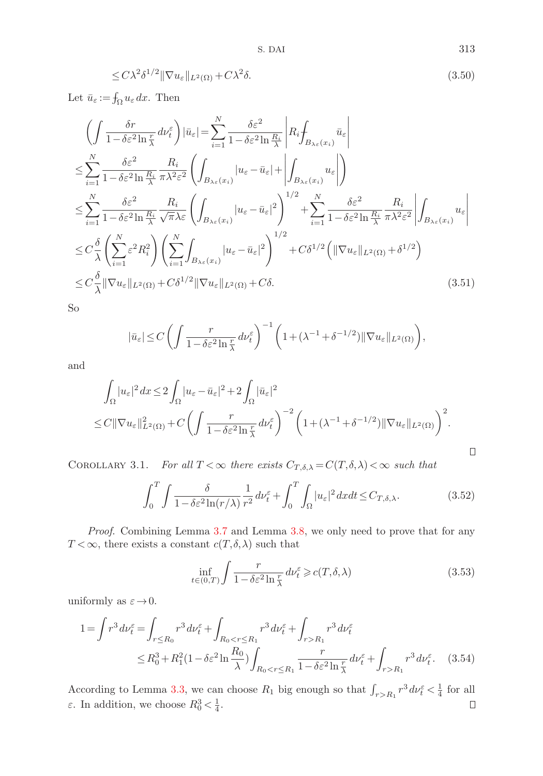$$
\leq C\lambda^2\delta^{1/2} \|\nabla u_{\varepsilon}\|_{L^2(\Omega)} + C\lambda^2\delta. \tag{3.50}
$$

Let  $\bar{u}_{\varepsilon} := \int_{\Omega} u_{\varepsilon} dx$ . Then

$$
\left(\int \frac{\delta r}{1 - \delta \varepsilon^{2} \ln \frac{r}{\lambda}} d\nu_{\varepsilon}^{\varepsilon}\right) |\bar{u}_{\varepsilon}| = \sum_{i=1}^{N} \frac{\delta \varepsilon^{2}}{1 - \delta \varepsilon^{2} \ln \frac{R_{i}}{\lambda}} \left| R_{i} \int_{B_{\lambda \varepsilon}(x_{i})} \bar{u}_{\varepsilon} \right|
$$
\n
$$
\leq \sum_{i=1}^{N} \frac{\delta \varepsilon^{2}}{1 - \delta \varepsilon^{2} \ln \frac{R_{i}}{\lambda}} \frac{R_{i}}{\pi \lambda^{2} \varepsilon^{2}} \left( \int_{B_{\lambda \varepsilon}(x_{i})} |u_{\varepsilon} - \bar{u}_{\varepsilon}| + \left| \int_{B_{\lambda \varepsilon}(x_{i})} u_{\varepsilon} \right| \right)
$$
\n
$$
\leq \sum_{i=1}^{N} \frac{\delta \varepsilon^{2}}{1 - \delta \varepsilon^{2} \ln \frac{R_{i}}{\lambda}} \frac{R_{i}}{\sqrt{\pi \lambda \varepsilon}} \left( \int_{B_{\lambda \varepsilon}(x_{i})} |u_{\varepsilon} - \bar{u}_{\varepsilon}|^{2} \right)^{1/2} + \sum_{i=1}^{N} \frac{\delta \varepsilon^{2}}{1 - \delta \varepsilon^{2} \ln \frac{R_{i}}{\lambda}} \frac{R_{i}}{\pi \lambda^{2} \varepsilon^{2}} \left| \int_{B_{\lambda \varepsilon}(x_{i})} u_{\varepsilon} \right|
$$
\n
$$
\leq C \frac{\delta}{\lambda} \left( \sum_{i=1}^{N} \varepsilon^{2} R_{i}^{2} \right) \left( \sum_{i=1}^{N} \int_{B_{\lambda \varepsilon}(x_{i})} |u_{\varepsilon} - \bar{u}_{\varepsilon}|^{2} \right)^{1/2} + C \delta^{1/2} \left( \|\nabla u_{\varepsilon}\|_{L^{2}(\Omega)} + \delta^{1/2} \right)
$$
\n
$$
\leq C \frac{\delta}{\lambda} \|\nabla u_{\varepsilon}\|_{L^{2}(\Omega)} + C \delta^{1/2} \|\nabla u_{\varepsilon}\|_{L^{2}(\Omega)} + C \delta. \tag{3.51}
$$

So

$$
|\bar{u}_{\varepsilon}| \le C \left( \int \frac{r}{1 - \delta \varepsilon^2 \ln \frac{r}{\lambda}} d\nu_t^{\varepsilon} \right)^{-1} \left( 1 + (\lambda^{-1} + \delta^{-1/2}) \|\nabla u_{\varepsilon}\|_{L^2(\Omega)} \right),
$$

and

$$
\int_{\Omega} |u_{\varepsilon}|^{2} dx \leq 2 \int_{\Omega} |u_{\varepsilon} - \bar{u}_{\varepsilon}|^{2} + 2 \int_{\Omega} |\bar{u}_{\varepsilon}|^{2} \n\leq C \|\nabla u_{\varepsilon}\|_{L^{2}(\Omega)}^{2} + C \left( \int \frac{r}{1 - \delta \varepsilon^{2} \ln \frac{r}{\lambda}} d\nu_{t}^{\varepsilon} \right)^{-2} \left( 1 + (\lambda^{-1} + \delta^{-1/2}) \|\nabla u_{\varepsilon}\|_{L^{2}(\Omega)} \right)^{2}.
$$

COROLLARY 3.1. For all  $T < \infty$  there exists  $C_{T,\delta,\lambda} = C(T,\delta,\lambda) < \infty$  such that

$$
\int_0^T \int \frac{\delta}{1 - \delta \varepsilon^2 \ln(r/\lambda)} \frac{1}{r^2} d\nu_t^{\varepsilon} + \int_0^T \int_{\Omega} |u_{\varepsilon}|^2 dx dt \le C_{T, \delta, \lambda}.
$$
 (3.52)

Proof. Combining Lemma 3.7 and Lemma 3.8, we only need to prove that for any  $T < \infty$ , there exists a constant  $c(T, \delta, \lambda)$  such that

$$
\inf_{t \in (0,T)} \int \frac{r}{1 - \delta \varepsilon^2 \ln \frac{r}{\lambda}} \, d\nu_t^{\varepsilon} \geqslant c(T, \delta, \lambda) \tag{3.53}
$$

uniformly as  $\varepsilon \to 0$ .

$$
1 = \int r^3 d\nu_t^{\varepsilon} = \int_{r \le R_0} r^3 d\nu_t^{\varepsilon} + \int_{R_0 < r \le R_1} r^3 d\nu_t^{\varepsilon} + \int_{r > R_1} r^3 d\nu_t^{\varepsilon}
$$
\n
$$
\le R_0^3 + R_1^2 (1 - \delta \varepsilon^2 \ln \frac{R_0}{\lambda}) \int_{R_0 < r \le R_1} \frac{r}{1 - \delta \varepsilon^2 \ln \frac{r}{\lambda}} d\nu_t^{\varepsilon} + \int_{r > R_1} r^3 d\nu_t^{\varepsilon}.
$$
\n(3.54)

According to Lemma 3.3, we can choose  $R_1$  big enough so that  $\int_{r>R_1} r^3 d\nu_t^{\varepsilon} < \frac{1}{4}$  for all  $\varepsilon$ . In addition, we choose  $R_0^3 < \frac{1}{4}$ .

 $\Box$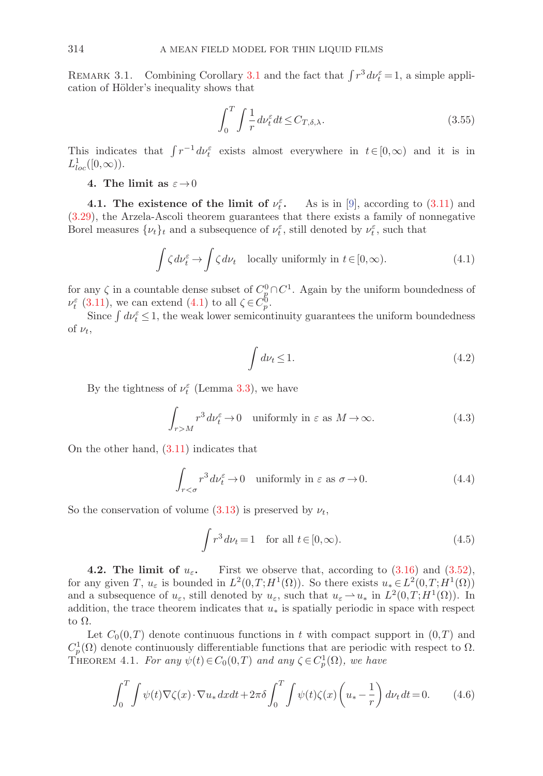REMARK 3.1. Combining Corollary 3.1 and the fact that  $\int r^3 dr_{\tilde{t}}^{\varepsilon} = 1$ , a simple application of Hölder's inequality shows that

$$
\int_0^T \int \frac{1}{r} \, d\nu_t^\varepsilon \, dt \le C_{T,\delta,\lambda}.\tag{3.55}
$$

This indicates that  $\int r^{-1} dr_t^{\varepsilon}$  exists almost everywhere in  $t \in [0,\infty)$  and it is in  $L^1_{loc}([0,\infty)).$ 

## **4.** The limit as  $\varepsilon \to 0$

**4.1.** The existence of the limit of  $\nu_t^{\varepsilon}$ . As is in [9], according to (3.11) and (3.29), the Arzela-Ascoli theorem guarantees that there exists a family of nonnegative Borel measures  $\{\nu_t\}_t$  and a subsequence of  $\nu_t^{\varepsilon}$ , still denoted by  $\nu_t^{\varepsilon}$ , such that

$$
\int \zeta \, d\nu_t^{\varepsilon} \to \int \zeta \, d\nu_t \quad \text{locally uniformly in } t \in [0, \infty). \tag{4.1}
$$

for any  $\zeta$  in a countable dense subset of  $C_p^0 \cap C^1$ . Again by the uniform boundedness of  $\nu_t^{\varepsilon}$  (3.11), we can extend (4.1) to all  $\zeta \in C_p^0$ .

Since  $\int dv_t^{\varepsilon} \leq 1$ , the weak lower semicontinuity guarantees the uniform boundedness of  $\nu_t$ ,

$$
\int d\nu_t \le 1. \tag{4.2}
$$

By the tightness of  $\nu_t^{\varepsilon}$  (Lemma 3.3), we have

$$
\int_{r>M} r^3 d\nu_t^{\varepsilon} \to 0 \quad \text{uniformly in } \varepsilon \text{ as } M \to \infty. \tag{4.3}
$$

On the other hand, (3.11) indicates that

$$
\int_{r<\sigma} r^3 d\nu_t^{\varepsilon} \to 0 \quad \text{uniformly in } \varepsilon \text{ as } \sigma \to 0. \tag{4.4}
$$

So the conservation of volume (3.13) is preserved by  $\nu_t$ ,

$$
\int r^3 d\nu_t = 1 \quad \text{for all } t \in [0, \infty). \tag{4.5}
$$

**4.2. The limit of**  $u_{\varepsilon}$ **.** First we observe that, according to  $(3.16)$  and  $(3.52)$ , for any given T,  $u_{\varepsilon}$  is bounded in  $L^2(0,T;H^1(\Omega))$ . So there exists  $u_* \in L^2(0,T;H^1(\Omega))$ and a subsequence of  $u_{\varepsilon}$ , still denoted by  $u_{\varepsilon}$ , such that  $u_{\varepsilon} \to u_*$  in  $L^2(0,T;H^1(\Omega))$ . In addition, the trace theorem indicates that  $u_*$  is spatially periodic in space with respect to  $\Omega$ .

Let  $C_0(0,T)$  denote continuous functions in t with compact support in  $(0,T)$  and  $C_p^1(\Omega)$  denote continuously differentiable functions that are periodic with respect to  $\Omega$ . THEOREM 4.1. For any  $\psi(t) \in C_0(0,T)$  and any  $\zeta \in C_p^1(\Omega)$ , we have

$$
\int_0^T \int \psi(t) \nabla \zeta(x) \cdot \nabla u_* dx dt + 2\pi \delta \int_0^T \int \psi(t) \zeta(x) \left( u_* - \frac{1}{r} \right) d\nu_t dt = 0. \tag{4.6}
$$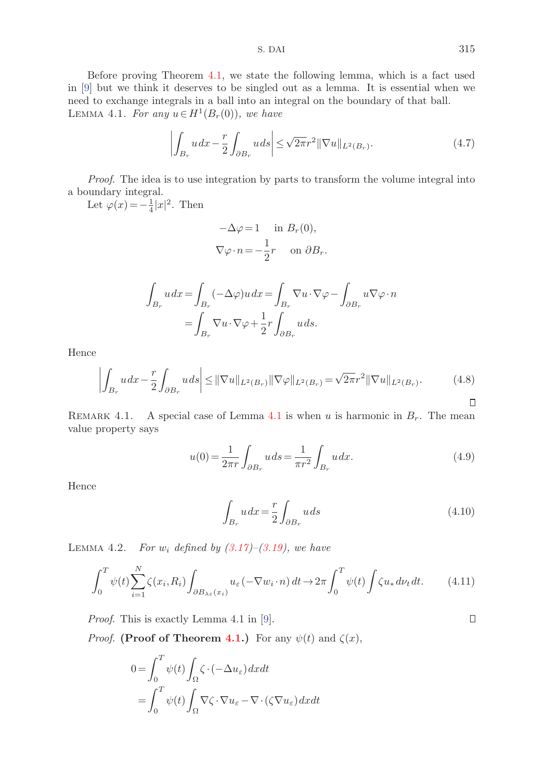S. DAI 315

Before proving Theorem 4.1, we state the following lemma, which is a fact used in [9] but we think it deserves to be singled out as a lemma. It is essential when we need to exchange integrals in a ball into an integral on the boundary of that ball. LEMMA 4.1. For any  $u \in H^1(B_r(0))$ , we have

$$
\left| \int_{B_r} u \, dx - \frac{r}{2} \int_{\partial B_r} u \, ds \right| \le \sqrt{2\pi} r^2 \|\nabla u\|_{L^2(B_r)}.
$$
\n
$$
(4.7)
$$

Proof. The idea is to use integration by parts to transform the volume integral into a boundary integral.

Let  $\varphi(x) = -\frac{1}{4}|x|^2$ . Then

$$
-\Delta \varphi = 1 \quad \text{in } B_r(0),
$$
  

$$
\nabla \varphi \cdot n = -\frac{1}{2}r \quad \text{on } \partial B_r.
$$

$$
\int_{B_r} u dx = \int_{B_r} (-\Delta \varphi) u dx = \int_{B_r} \nabla u \cdot \nabla \varphi - \int_{\partial B_r} u \nabla \varphi \cdot n
$$

$$
= \int_{B_r} \nabla u \cdot \nabla \varphi + \frac{1}{2} r \int_{\partial B_r} u ds.
$$

Hence

$$
\left| \int_{B_r} u \, dx - \frac{r}{2} \int_{\partial B_r} u \, ds \right| \leq ||\nabla u||_{L^2(B_r)} ||\nabla \varphi||_{L^2(B_r)} = \sqrt{2\pi} r^2 ||\nabla u||_{L^2(B_r)}.
$$
\n(4.8)

REMARK 4.1. A special case of Lemma 4.1 is when u is harmonic in  $B_r$ . The mean value property says

$$
u(0) = \frac{1}{2\pi r} \int_{\partial B_r} u \, ds = \frac{1}{\pi r^2} \int_{B_r} u \, dx. \tag{4.9}
$$

Hence

$$
\int_{B_r} u \, dx = \frac{r}{2} \int_{\partial B_r} u \, ds \tag{4.10}
$$

LEMMA 4.2. For  $w_i$  defined by  $(3.17)$ – $(3.19)$ , we have

$$
\int_0^T \psi(t) \sum_{i=1}^N \zeta(x_i, R_i) \int_{\partial B_{\lambda \varepsilon}(x_i)} u_\varepsilon(-\nabla w_i \cdot n) dt \to 2\pi \int_0^T \psi(t) \int \zeta u_* dv_t dt.
$$
 (4.11)

Proof. This is exactly Lemma 4.1 in [9].

*Proof.* **(Proof of Theorem 4.1.)** For any  $\psi(t)$  and  $\zeta(x)$ ,

$$
0 = \int_0^T \psi(t) \int_{\Omega} \zeta \cdot (-\Delta u_{\varepsilon}) dx dt
$$
  
= 
$$
\int_0^T \psi(t) \int_{\Omega} \nabla \zeta \cdot \nabla u_{\varepsilon} - \nabla \cdot (\zeta \nabla u_{\varepsilon}) dx dt
$$

 $\Box$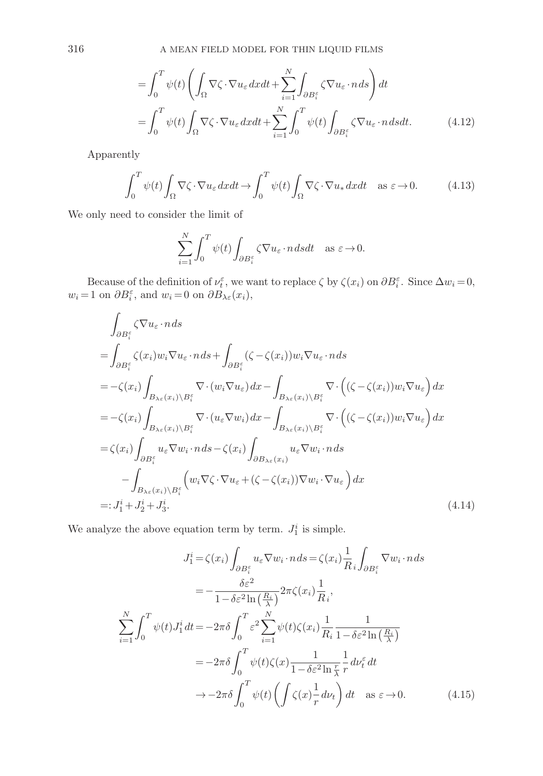$$
= \int_0^T \psi(t) \left( \int_{\Omega} \nabla \zeta \cdot \nabla u_{\varepsilon} dx dt + \sum_{i=1}^N \int_{\partial B_i^{\varepsilon}} \zeta \nabla u_{\varepsilon} \cdot n ds \right) dt
$$
  

$$
= \int_0^T \psi(t) \int_{\Omega} \nabla \zeta \cdot \nabla u_{\varepsilon} dx dt + \sum_{i=1}^N \int_0^T \psi(t) \int_{\partial B_i^{\varepsilon}} \zeta \nabla u_{\varepsilon} \cdot n ds dt.
$$
 (4.12)

Apparently

$$
\int_0^T \psi(t) \int_{\Omega} \nabla \zeta \cdot \nabla u_{\varepsilon} dx dt \to \int_0^T \psi(t) \int_{\Omega} \nabla \zeta \cdot \nabla u_* dx dt \quad \text{as } \varepsilon \to 0. \tag{4.13}
$$

We only need to consider the limit of

$$
\sum_{i=1}^N \int_0^T \psi(t) \int_{\partial B_i^{\varepsilon}} \zeta \nabla u_{\varepsilon} \cdot n \, dsdt \quad \text{as } \varepsilon \to 0.
$$

Because of the definition of  $\nu_t^{\varepsilon}$ , we want to replace  $\zeta$  by  $\zeta(x_i)$  on  $\partial B_i^{\varepsilon}$ . Since  $\Delta w_i = 0$ ,  $w_i = 1$  on  $\partial B_i^{\varepsilon}$ , and  $w_i = 0$  on  $\partial B_{\lambda \varepsilon}(x_i)$ ,

$$
\int_{\partial B_{i}^{\varepsilon}} \zeta \nabla u_{\varepsilon} \cdot n ds
$$
\n
$$
= \int_{\partial B_{i}^{\varepsilon}} \zeta(x_{i}) w_{i} \nabla u_{\varepsilon} \cdot n ds + \int_{\partial B_{i}^{\varepsilon}} (\zeta - \zeta(x_{i})) w_{i} \nabla u_{\varepsilon} \cdot n ds
$$
\n
$$
= -\zeta(x_{i}) \int_{B_{\lambda \varepsilon}(x_{i}) \setminus B_{i}^{\varepsilon}} \nabla \cdot (w_{i} \nabla u_{\varepsilon}) dx - \int_{B_{\lambda \varepsilon}(x_{i}) \setminus B_{i}^{\varepsilon}} \nabla \cdot ((\zeta - \zeta(x_{i})) w_{i} \nabla u_{\varepsilon}) dx
$$
\n
$$
= -\zeta(x_{i}) \int_{B_{\lambda \varepsilon}(x_{i}) \setminus B_{i}^{\varepsilon}} \nabla \cdot (u_{\varepsilon} \nabla w_{i}) dx - \int_{B_{\lambda \varepsilon}(x_{i}) \setminus B_{i}^{\varepsilon}} \nabla \cdot ((\zeta - \zeta(x_{i})) w_{i} \nabla u_{\varepsilon}) dx
$$
\n
$$
= \zeta(x_{i}) \int_{\partial B_{i}^{\varepsilon}} u_{\varepsilon} \nabla w_{i} \cdot n ds - \zeta(x_{i}) \int_{\partial B_{\lambda \varepsilon}(x_{i})} u_{\varepsilon} \nabla w_{i} \cdot n ds
$$
\n
$$
- \int_{B_{\lambda \varepsilon}(x_{i}) \setminus B_{i}^{\varepsilon}} \left( w_{i} \nabla \zeta \cdot \nabla u_{\varepsilon} + (\zeta - \zeta(x_{i})) \nabla w_{i} \cdot \nabla u_{\varepsilon} \right) dx
$$
\n
$$
=: J_{1}^{i} + J_{2}^{i} + J_{3}^{i}.
$$
\n(4.14)

We analyze the above equation term by term.  $J_1^i$  is simple.

$$
J_1^i = \zeta(x_i) \int_{\partial B_i^{\varepsilon}} u_{\varepsilon} \nabla w_i \cdot n \, ds = \zeta(x_i) \frac{1}{R_i} \int_{\partial B_i^{\varepsilon}} \nabla w_i \cdot n \, ds
$$

$$
= -\frac{\delta \varepsilon^2}{1 - \delta \varepsilon^2 \ln\left(\frac{R_i}{\lambda}\right)} 2\pi \zeta(x_i) \frac{1}{R_i},
$$

$$
\sum_{i=1}^N \int_0^T \psi(t) J_1^i dt = -2\pi \delta \int_0^T \varepsilon^2 \sum_{i=1}^N \psi(t) \zeta(x_i) \frac{1}{R_i} \frac{1}{1 - \delta \varepsilon^2 \ln\left(\frac{R_i}{\lambda}\right)}
$$

$$
= -2\pi \delta \int_0^T \psi(t) \zeta(x) \frac{1}{1 - \delta \varepsilon^2 \ln\frac{r}{\lambda}} \frac{1}{r} d\nu_t^{\varepsilon} dt
$$

$$
\to -2\pi \delta \int_0^T \psi(t) \left( \int \zeta(x) \frac{1}{r} d\nu_t \right) dt \quad \text{as } \varepsilon \to 0. \tag{4.15}
$$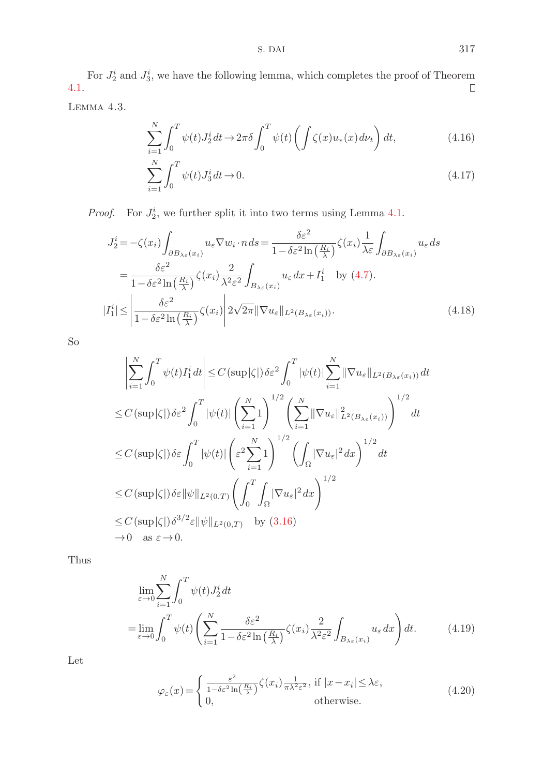For  $J_2^i$  and  $J_3^i$ , we have the following lemma, which completes the proof of Theorem 4.1.

Lemma 4.3.

$$
\sum_{i=1}^{N} \int_{0}^{T} \psi(t) J_2^i dt \to 2\pi \delta \int_{0}^{T} \psi(t) \left( \int \zeta(x) u_*(x) d\nu_t \right) dt,
$$
\n(4.16)

$$
\sum_{i=1}^{N} \int_{0}^{T} \psi(t) J_3^i dt \to 0.
$$
\n(4.17)

*Proof.* For  $J_2^i$ , we further split it into two terms using Lemma 4.1.

$$
J_2^i = -\zeta(x_i) \int_{\partial B_{\lambda \varepsilon}(x_i)} u_{\varepsilon} \nabla w_i \cdot n \, ds = \frac{\delta \varepsilon^2}{1 - \delta \varepsilon^2 \ln\left(\frac{R_i}{\lambda}\right)} \zeta(x_i) \frac{1}{\lambda \varepsilon} \int_{\partial B_{\lambda \varepsilon}(x_i)} u_{\varepsilon} \, ds
$$
  

$$
= \frac{\delta \varepsilon^2}{1 - \delta \varepsilon^2 \ln\left(\frac{R_i}{\lambda}\right)} \zeta(x_i) \frac{2}{\lambda^2 \varepsilon^2} \int_{B_{\lambda \varepsilon}(x_i)} u_{\varepsilon} \, dx + I_1^i \quad \text{by (4.7).}
$$
  

$$
|I_1^i| \le \left| \frac{\delta \varepsilon^2}{1 - \delta \varepsilon^2 \ln\left(\frac{R_i}{\lambda}\right)} \zeta(x_i) \right| 2\sqrt{2\pi} \|\nabla u_{\varepsilon}\|_{L^2(B_{\lambda \varepsilon}(x_i))}. \tag{4.18}
$$

So

$$
\left| \sum_{i=1}^{N} \int_{0}^{T} \psi(t) I_{1}^{i} dt \right| \leq C \left( \sup |\zeta| \right) \delta \varepsilon^{2} \int_{0}^{T} |\psi(t)| \sum_{i=1}^{N} \|\nabla u_{\varepsilon}\|_{L^{2}(B_{\lambda\varepsilon}(x_{i}))} dt
$$
  
\n
$$
\leq C \left( \sup |\zeta| \right) \delta \varepsilon^{2} \int_{0}^{T} |\psi(t)| \left( \sum_{i=1}^{N} 1 \right)^{1/2} \left( \sum_{i=1}^{N} \|\nabla u_{\varepsilon}\|_{L^{2}(B_{\lambda\varepsilon}(x_{i}))}^{2} \right)^{1/2} dt
$$
  
\n
$$
\leq C \left( \sup |\zeta| \right) \delta \varepsilon \int_{0}^{T} |\psi(t)| \left( \varepsilon^{2} \sum_{i=1}^{N} 1 \right)^{1/2} \left( \int_{\Omega} |\nabla u_{\varepsilon}|^{2} dx \right)^{1/2} dt
$$
  
\n
$$
\leq C \left( \sup |\zeta| \right) \delta \varepsilon \|\psi\|_{L^{2}(0,T)} \left( \int_{0}^{T} \int_{\Omega} |\nabla u_{\varepsilon}|^{2} dx \right)^{1/2}
$$
  
\n
$$
\leq C \left( \sup |\zeta| \right) \delta^{3/2} \varepsilon \|\psi\|_{L^{2}(0,T)} \quad \text{by (3.16)}
$$
  
\n
$$
\to 0 \quad \text{as } \varepsilon \to 0.
$$

Thus

$$
\lim_{\varepsilon \to 0} \sum_{i=1}^{N} \int_{0}^{T} \psi(t) J_{2}^{i} dt
$$
\n
$$
= \lim_{\varepsilon \to 0} \int_{0}^{T} \psi(t) \left( \sum_{i=1}^{N} \frac{\delta \varepsilon^{2}}{1 - \delta \varepsilon^{2} \ln\left(\frac{R_{i}}{\lambda}\right)} \zeta(x_{i}) \frac{2}{\lambda^{2} \varepsilon^{2}} \int_{B_{\lambda \varepsilon}(x_{i})} u_{\varepsilon} dx \right) dt.
$$
\n(4.19)

Let

$$
\varphi_{\varepsilon}(x) = \begin{cases} \frac{\varepsilon^2}{1 - \delta \varepsilon^2 \ln\left(\frac{R_i}{\lambda}\right)} \zeta(x_i) \frac{1}{\pi \lambda^2 \varepsilon^2}, & \text{if } |x - x_i| \le \lambda \varepsilon, \\ 0, & \text{otherwise.} \end{cases}
$$
(4.20)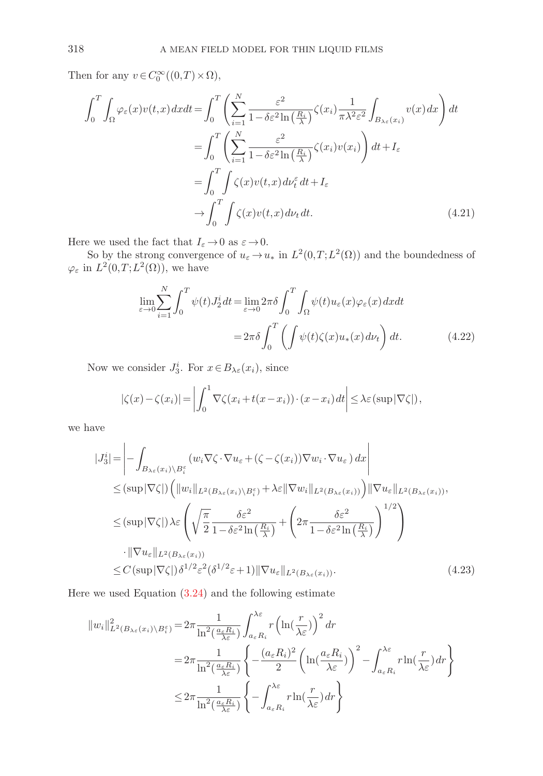Then for any  $v \in C_0^{\infty}((0,T) \times \Omega)$ ,

$$
\int_{0}^{T} \int_{\Omega} \varphi_{\varepsilon}(x) v(t, x) dx dt = \int_{0}^{T} \left( \sum_{i=1}^{N} \frac{\varepsilon^{2}}{1 - \delta \varepsilon^{2} \ln\left(\frac{R_{i}}{\lambda}\right)} \zeta(x_{i}) \frac{1}{\pi \lambda^{2} \varepsilon^{2}} \int_{B_{\lambda \varepsilon}(x_{i})} v(x) dx \right) dt
$$

$$
= \int_{0}^{T} \left( \sum_{i=1}^{N} \frac{\varepsilon^{2}}{1 - \delta \varepsilon^{2} \ln\left(\frac{R_{i}}{\lambda}\right)} \zeta(x_{i}) v(x_{i}) \right) dt + I_{\varepsilon}
$$

$$
= \int_{0}^{T} \int_{0}^{T} \zeta(x) v(t, x) d\nu_{t}^{{\varepsilon}} dt + I_{\varepsilon}
$$

$$
\to \int_{0}^{T} \int_{0}^{T} \zeta(x) v(t, x) d\nu_{t} dt. \tag{4.21}
$$

Here we used the fact that  $I_\varepsilon \,{\to}\, 0$  as  $\varepsilon \,{\to}\, 0.$ 

So by the strong convergence of  $u_{\varepsilon} \to u_*$  in  $L^2(0,T;L^2(\Omega))$  and the boundedness of  $\varphi_{\varepsilon}$  in  $L^2(0,T;L^2(\Omega))$ , we have

$$
\lim_{\varepsilon \to 0} \sum_{i=1}^{N} \int_{0}^{T} \psi(t) J_{2}^{i} dt = \lim_{\varepsilon \to 0} 2\pi \delta \int_{0}^{T} \int_{\Omega} \psi(t) u_{\varepsilon}(x) \varphi_{\varepsilon}(x) dx dt
$$

$$
= 2\pi \delta \int_{0}^{T} \left( \int \psi(t) \zeta(x) u_{*}(x) d\nu_{t} \right) dt.
$$
(4.22)

Now we consider  $J_3^i$ . For  $x \in B_{\lambda \varepsilon}(x_i)$ , since

$$
|\zeta(x) - \zeta(x_i)| = \left| \int_0^1 \nabla \zeta(x_i + t(x - x_i)) \cdot (x - x_i) dt \right| \leq \lambda \varepsilon \left( \sup |\nabla \zeta| \right),
$$

we have

$$
|J_3^i| = \left| - \int_{B_{\lambda \varepsilon}(x_i) \setminus B_i^{\varepsilon}} (w_i \nabla \zeta \cdot \nabla u_{\varepsilon} + (\zeta - \zeta(x_i)) \nabla w_i \cdot \nabla u_{\varepsilon}) dx \right|
$$
  
\n
$$
\leq (\sup |\nabla \zeta|) \left( \|w_i\|_{L^2(B_{\lambda \varepsilon}(x_i) \setminus B_i^{\varepsilon})} + \lambda \varepsilon \|\nabla w_i\|_{L^2(B_{\lambda \varepsilon}(x_i))} \right) \|\nabla u_{\varepsilon}\|_{L^2(B_{\lambda \varepsilon}(x_i))},
$$
  
\n
$$
\leq (\sup |\nabla \zeta|) \lambda \varepsilon \left( \sqrt{\frac{\pi}{2}} \frac{\delta \varepsilon^2}{1 - \delta \varepsilon^2 \ln(\frac{R_i}{\lambda})} + \left( 2\pi \frac{\delta \varepsilon^2}{1 - \delta \varepsilon^2 \ln(\frac{R_i}{\lambda})} \right)^{1/2} \right)
$$
  
\n
$$
\cdot \|\nabla u_{\varepsilon}\|_{L^2(B_{\lambda \varepsilon}(x_i))}
$$
  
\n
$$
\leq C (\sup |\nabla \zeta|) \delta^{1/2} \varepsilon^2 (\delta^{1/2} \varepsilon + 1) \|\nabla u_{\varepsilon}\|_{L^2(B_{\lambda \varepsilon}(x_i))}. \tag{4.23}
$$

Here we used Equation (3.24) and the following estimate

$$
\|w_i\|_{L^2(B_{\lambda\varepsilon}(x_i)\setminus B_i^{\varepsilon})}^2 = 2\pi \frac{1}{\ln^2(\frac{a_\varepsilon R_i}{\lambda\varepsilon})} \int_{a_\varepsilon R_i}^{\lambda\varepsilon} r \left(\ln(\frac{r}{\lambda\varepsilon})\right)^2 dr
$$
  

$$
= 2\pi \frac{1}{\ln^2(\frac{a_\varepsilon R_i}{\lambda\varepsilon})} \left\{-\frac{(a_\varepsilon R_i)^2}{2} \left(\ln(\frac{a_\varepsilon R_i}{\lambda\varepsilon})\right)^2 - \int_{a_\varepsilon R_i}^{\lambda\varepsilon} r \ln(\frac{r}{\lambda\varepsilon}) dr\right\}
$$
  

$$
\leq 2\pi \frac{1}{\ln^2(\frac{a_\varepsilon R_i}{\lambda\varepsilon})} \left\{-\int_{a_\varepsilon R_i}^{\lambda\varepsilon} r \ln(\frac{r}{\lambda\varepsilon}) dr\right\}
$$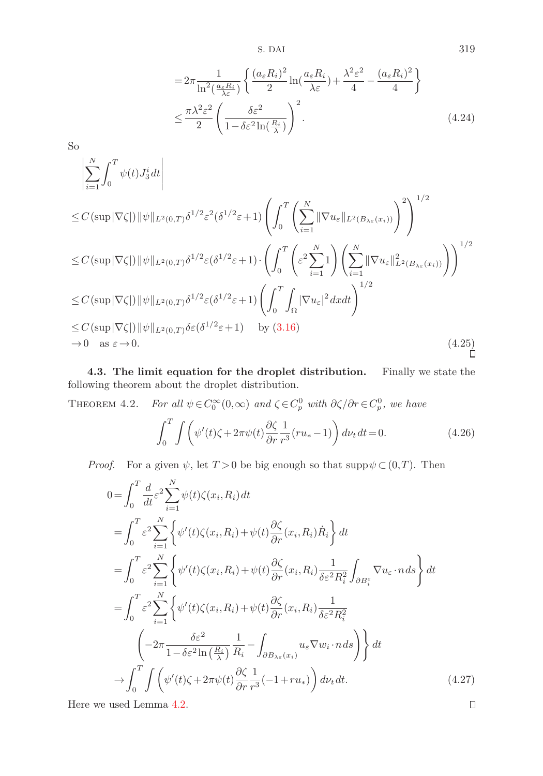S. DAI 319

$$
=2\pi \frac{1}{\ln^{2}\left(\frac{a_{\varepsilon}R_{i}}{\lambda\varepsilon}\right)}\left\{\frac{(a_{\varepsilon}R_{i})^{2}}{2}\ln\left(\frac{a_{\varepsilon}R_{i}}{\lambda\varepsilon}\right)+\frac{\lambda^{2}\varepsilon^{2}}{4}-\frac{(a_{\varepsilon}R_{i})^{2}}{4}\right\}
$$

$$
\leq \frac{\pi\lambda^{2}\varepsilon^{2}}{2}\left(\frac{\delta\varepsilon^{2}}{1-\delta\varepsilon^{2}\ln\left(\frac{R_{i}}{\lambda}\right)}\right)^{2}.
$$
(4.24)

So

$$
\left| \sum_{i=1}^{N} \int_{0}^{T} \psi(t) J_{3}^{i} dt \right|
$$
\n
$$
\leq C \left( \sup |\nabla \zeta| \right) \|\psi\|_{L^{2}(0,T)} \delta^{1/2} \varepsilon^{2} (\delta^{1/2} \varepsilon + 1) \left( \int_{0}^{T} \left( \sum_{i=1}^{N} \|\nabla u_{\varepsilon}\|_{L^{2}(B_{\lambda_{\varepsilon}}(x_{i}))} \right)^{2} \right)^{1/2}
$$
\n
$$
\leq C \left( \sup |\nabla \zeta| \right) \|\psi\|_{L^{2}(0,T)} \delta^{1/2} \varepsilon (\delta^{1/2} \varepsilon + 1) \cdot \left( \int_{0}^{T} \left( \varepsilon^{2} \sum_{i=1}^{N} 1 \right) \left( \sum_{i=1}^{N} \|\nabla u_{\varepsilon}\|_{L^{2}(B_{\lambda_{\varepsilon}}(x_{i}))}^{2} \right) \right)^{1/2}
$$
\n
$$
\leq C \left( \sup |\nabla \zeta| \right) \|\psi\|_{L^{2}(0,T)} \delta^{1/2} \varepsilon (\delta^{1/2} \varepsilon + 1) \left( \int_{0}^{T} \int_{\Omega} |\nabla u_{\varepsilon}|^{2} dx dt \right)^{1/2}
$$
\n
$$
\leq C \left( \sup |\nabla \zeta| \right) \|\psi\|_{L^{2}(0,T)} \delta \varepsilon (\delta^{1/2} \varepsilon + 1) \quad \text{by (3.16)}
$$
\n
$$
\to 0 \quad \text{as } \varepsilon \to 0. \tag{4.25}
$$

**4.3. The limit equation for the droplet distribution.** Finally we state the following theorem about the droplet distribution.

THEOREM 4.2. For all  $\psi \in C_0^{\infty}(0, \infty)$  and  $\zeta \in C_p^0$  with  $\partial \zeta / \partial r \in C_p^0$ , we have

$$
\int_0^T \int \left( \psi'(t)\zeta + 2\pi\psi(t) \frac{\partial \zeta}{\partial r} \frac{1}{r^3} (ru_* - 1) \right) d\nu_t dt = 0.
$$
 (4.26)

*Proof.* For a given  $\psi$ , let  $T > 0$  be big enough so that supp $\psi \subset (0,T)$ . Then

$$
0 = \int_0^T \frac{d}{dt} \varepsilon^2 \sum_{i=1}^N \psi(t) \zeta(x_i, R_i) dt
$$
  
\n
$$
= \int_0^T \varepsilon^2 \sum_{i=1}^N \left\{ \psi'(t) \zeta(x_i, R_i) + \psi(t) \frac{\partial \zeta}{\partial r}(x_i, R_i) \dot{R}_i \right\} dt
$$
  
\n
$$
= \int_0^T \varepsilon^2 \sum_{i=1}^N \left\{ \psi'(t) \zeta(x_i, R_i) + \psi(t) \frac{\partial \zeta}{\partial r}(x_i, R_i) \frac{1}{\delta \varepsilon^2 R_i^2} \int_{\partial B_i^{\varepsilon}} \nabla u_{\varepsilon} \cdot n ds \right\} dt
$$
  
\n
$$
= \int_0^T \varepsilon^2 \sum_{i=1}^N \left\{ \psi'(t) \zeta(x_i, R_i) + \psi(t) \frac{\partial \zeta}{\partial r}(x_i, R_i) \frac{1}{\delta \varepsilon^2 R_i^2} \right\}
$$
  
\n
$$
\left( -2\pi \frac{\delta \varepsilon^2}{1 - \delta \varepsilon^2 \ln\left(\frac{R_i}{\lambda}\right)} \frac{1}{R_i} - \int_{\partial B_{\lambda \varepsilon}(x_i)} u_{\varepsilon} \nabla w_i \cdot n ds \right) \right\} dt
$$
  
\n
$$
\to \int_0^T \int \left( \psi'(t) \zeta + 2\pi \psi(t) \frac{\partial \zeta}{\partial r} \frac{1}{r^3} (-1 + ru_*) \right) d\nu_t dt.
$$
 (4.27)  
\n: used Lemma 4.2.

Here we used Lemma 4.2.